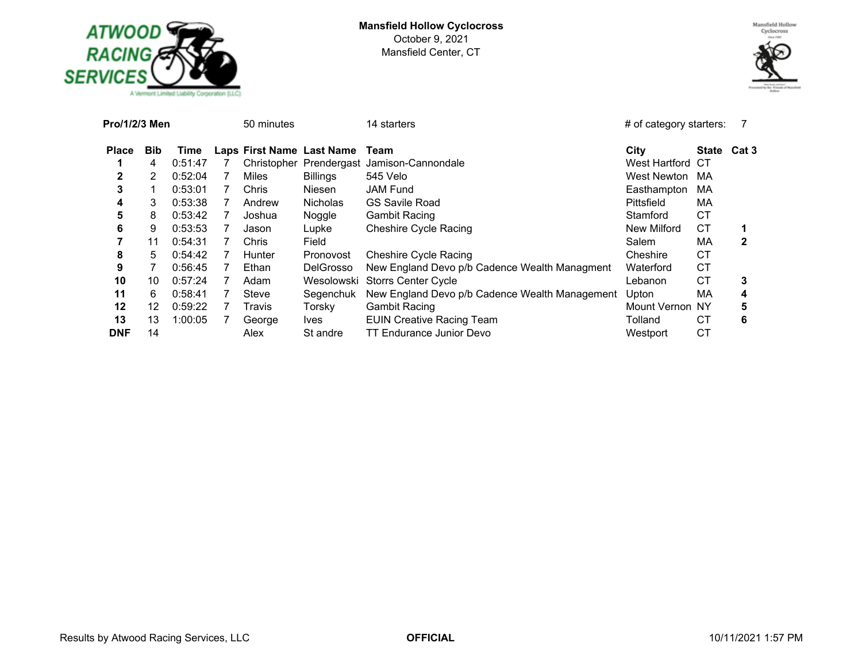



| Pro/1/2/3 Men |            |         |   | 50 minutes |                           | 14 starters                                    | $#$ of category starters: |             |              |
|---------------|------------|---------|---|------------|---------------------------|------------------------------------------------|---------------------------|-------------|--------------|
| <b>Place</b>  | <b>Bib</b> | Time    |   |            | Laps First Name Last Name | Team                                           | City                      | State Cat 3 |              |
|               | 4          | 0:51:47 |   |            |                           | Christopher Prendergast Jamison-Cannondale     | West Hartford             | CT          |              |
| 2             | 2          | 0:52:04 | 7 | Miles      | <b>Billings</b>           | 545 Velo                                       | West Newton               | MA          |              |
| 3             |            | 0:53:01 | 7 | Chris      | Niesen                    | <b>JAM Fund</b>                                | Easthampton               | МA          |              |
| 4             | 3          | 0:53:38 | 7 | Andrew     | <b>Nicholas</b>           | <b>GS Savile Road</b>                          | Pittsfield                | МA          |              |
| 5             | 8          | 0:53:42 |   | Joshua     | Noggle                    | <b>Gambit Racing</b>                           | Stamford                  | <b>CT</b>   |              |
| 6             | 9          | 0:53:53 |   | Jason      | Lupke                     | <b>Cheshire Cycle Racing</b>                   | New Milford               | СT          |              |
| 7             | 11         | 0:54:31 |   | Chris      | Field                     |                                                | Salem                     | МA          | $\mathbf{2}$ |
| 8             | 5.         | 0:54:42 | 7 | Hunter     | Pronovost                 | <b>Cheshire Cycle Racing</b>                   | Cheshire                  | СT          |              |
| 9             |            | 0.56:45 | 7 | Ethan      | <b>DelGrosso</b>          | New England Devo p/b Cadence Wealth Managment  | Waterford                 | CТ          |              |
| 10            | 10         | 0:57:24 | 7 | Adam       |                           | Wesolowski Storrs Center Cycle                 | Lebanon                   | СT          | 3            |
| 11            | 6.         | 0:58:41 | 7 | Steve      | Segenchuk                 | New England Devo p/b Cadence Wealth Management | Upton                     | МA          | 4            |
| 12            | 12         | 0:59:22 |   | Travis     | Torsky                    | <b>Gambit Racing</b>                           | Mount Vernon NY           |             | 5            |
| 13            | 13         | 1:00:05 |   | George     | lves                      | <b>EUIN Creative Racing Team</b>               | Tolland                   | СT          | 6            |
| <b>DNF</b>    | 14         |         |   | Alex       | St andre                  | TT Endurance Junior Devo                       | Westport                  | CT          |              |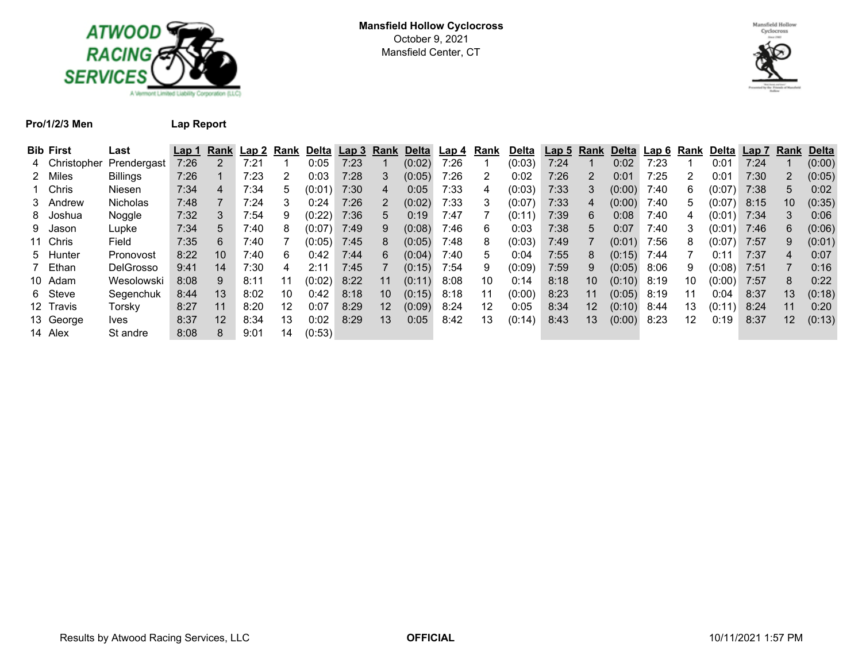



## **Pro/1/2/3 Men Lap Report**

| <b>Bib First</b> | Last             | Lap 1 | Rank | Lap 2 | Rank | <u>Delta Lap 3 Rank</u> |      |    | Delta  | Lap 4 | Rank | <b>Delta</b> | Lap <sub>5</sub> | Rank            | <b>Delta</b> | <u>Lap 6</u> | Rank            | Delta Lap 7 |      | Rank            | <u>Delta</u> |
|------------------|------------------|-------|------|-------|------|-------------------------|------|----|--------|-------|------|--------------|------------------|-----------------|--------------|--------------|-----------------|-------------|------|-----------------|--------------|
| 4 Christopher    | Prendergast      | 7:26  |      | 7:21  |      | 0:05                    | 7:23 |    | (0:02) | 7:26  |      | (0:03)       | 7:24             |                 | 0:02         | 7:23         |                 | 0:01        | 7:24 |                 | (0:00)       |
| 2 Miles          | <b>Billings</b>  | 7:26  |      | 7:23  | 2    | 0:03                    | 7:28 | 3  | (0:05) | 7:26  | 2    | 0:02         | 7:26             | 2               | 0:01         | 7:25         | 2               | 0:01        | 7:30 |                 | (0:05)       |
| 1 Chris          | <b>Niesen</b>    | 7:34  | 4    | 7:34  | 5    | (0:01)                  | 7:30 | 4  | 0:05   | 7:33  | 4    | (0:03)       | 7:33             | 3               | (0:00)       | 7:40         | 6               | (0:07)      | 7:38 | 5               | 0:02         |
| 3 Andrew         | <b>Nicholas</b>  | 7:48  |      | 7:24  | 3    | 0:24                    | 7:26 | 2  | (0:02) | 7:33  | 3    | (0:07)       | 7:33             | 4               | (0:00)       | 7:40         | 5               | (0:07)      | 8:15 | 10              | (0:35)       |
| 8 Joshua         | Noggle           | 7:32  |      | 7:54  | 9    | (0:22)                  | 7:36 | 5  | 0:19   | 7:47  |      | (0:11)       | 7:39             | 6               | 0:08         | 7:40         | 4               | (0:01)      | 7:34 |                 | 0:06         |
| 9 Jason          | Lupke            | 7:34  | 5.   | 7:40  | 8    | (0:07)                  | 7:49 | 9  | (0:08) | 7:46  | 6    | 0:03         | 7:38             | 5               | 0:07         | 7:40         | 3               | (0:01)      | 7:46 | 6               | (0:06)       |
| 11 Chris         | Field            | 7:35  | 6.   | 7:40  |      | (0:05)                  | 7:45 | 8  | (0:05) | 7:48  | 8    | (0:03)       | 7:49             |                 | (0:01)       | 7:56         | 8               | (0:07)      | 7:57 | 9               | (0:01)       |
| 5 Hunter         | Pronovost        | 8:22  | 10   | 7:40  | 6    | 0:42                    | 7:44 | 6  | (0:04) | 7:40  | 5.   | 0:04         | 7:55             | 8               | (0:15)       | 7:44         |                 | 0:11        | 7:37 | 4               | 0:07         |
| 7 Ethan          | <b>DelGrosso</b> | 9:41  | 14   | 7:30  | 4    | 2:11                    | 7:45 |    | (0:15) | 7:54  | 9    | (0:09)       | 7:59             | 9               | (0:05)       | 8:06         | 9               | (0:08)      | 7:51 |                 | 0:16         |
| 10 Adam          | Wesolowski       | 8:08  | 9    | 8:11  | 11   | (0:02)                  | 8:22 | 11 | (0:11) | 8:08  | 10   | 0:14         | 8:18             | 10 <sup>°</sup> | (0:10)       | 8:19         | 10              | (0:00)      | 7:57 | 8               | 0:22         |
| 6 Steve          | Segenchuk        | 8:44  | 13   | 8:02  | 10   | 0:42                    | 8:18 | 10 | (0:15) | 8:18  |      | (0:00)       | 8:23             | 11              | (0:05)       | 8:19         | 11              | 0:04        | 8:37 | 13 <sup>°</sup> | (0:18)       |
| 12 Travis        | Torsky           | 8:27  | 11   | 8:20  | 12   | 0:07                    | 8:29 | 12 | (0:09) | 8:24  | 12   | 0:05         | 8:34             | 12              | (0:10)       | 8:44         | 13              | (0:11)      | 8:24 | 11              | 0:20         |
| 13 George        | lves             | 8:37  | 12   | 8:34  | 13   | 0:02                    | 8:29 | 13 | 0:05   | 8:42  | 13   | (0:14)       | 8:43             | 13              | (0:00)       | 8:23         | 12 <sup>°</sup> | 0:19        | 8:37 | 12 <sup>°</sup> | (0:13)       |
| 14 Alex          | St andre         | 8:08  | 8.   | 9:01  | 14   | (0:53)                  |      |    |        |       |      |              |                  |                 |              |              |                 |             |      |                 |              |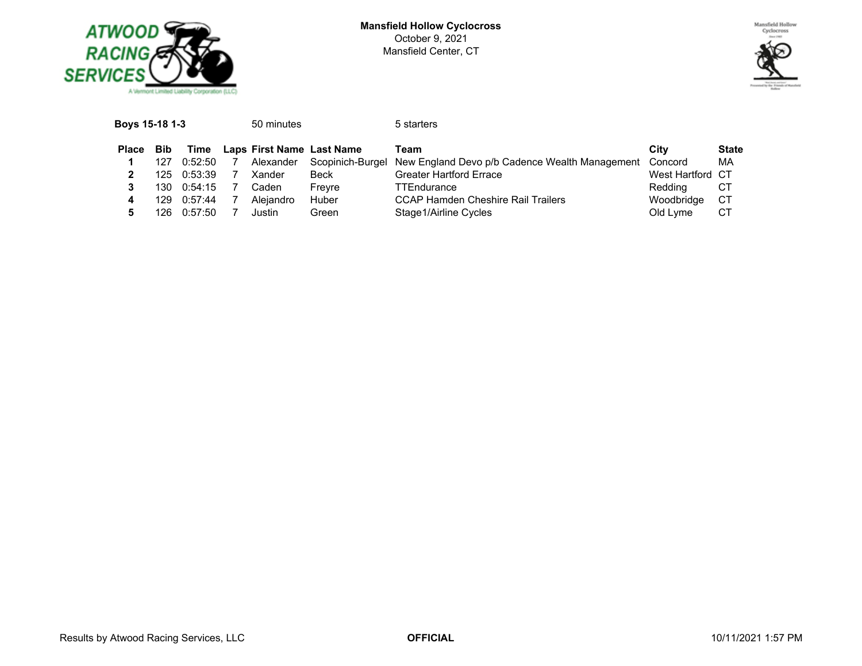



| <b>Bib</b><br>Laps First Name Last Name<br><b>Place</b><br>Time<br>City<br>Team<br>Scopinich-Burgel New England Devo p/b Cadence Wealth Management<br>Alexander<br>Concord<br>0:52:50<br>127 |              |
|----------------------------------------------------------------------------------------------------------------------------------------------------------------------------------------------|--------------|
|                                                                                                                                                                                              | <b>State</b> |
|                                                                                                                                                                                              | MA           |
| <b>Greater Hartford Errace</b><br>West Hartford CT<br><b>Beck</b><br>0:53:39<br>125.<br>Xander                                                                                               |              |
| CТ<br>Reddina<br>0:54:15<br><b>TTEndurance</b><br>130<br>Caden<br>Frevre                                                                                                                     |              |
| СT<br>Aleiandro<br>Huber<br><b>CCAP Hamden Cheshire Rail Trailers</b><br>Woodbridge<br>0:57:44<br>129.                                                                                       |              |
| CТ<br>Stage1/Airline Cycles<br>0:57:50<br>Old Lyme<br>126.<br>Green<br>Justin                                                                                                                |              |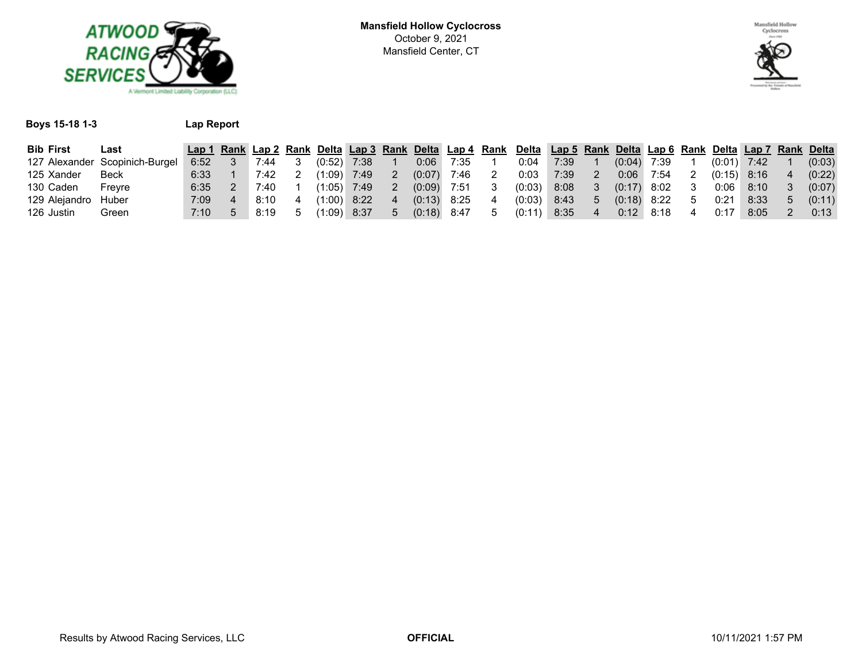



#### **Boys 15-18 1-3 Lap Report**

| <b>Bib First</b> | ∟ast                           | Lap 1 |      |         |      |        | Rank Lap 2 Rank Delta Lap 3 Rank Delta Lap 4 Rank | Delta  |      |        |      |                  | Lap 5 Rank Delta Lap 6 Rank Delta Lap 7 Rank Delta |        |
|------------------|--------------------------------|-------|------|---------|------|--------|---------------------------------------------------|--------|------|--------|------|------------------|----------------------------------------------------|--------|
|                  | 127 Alexander Scopinich-Burgel | 6:52  | ':44 | (0:52)  | 7:38 | 0:06   | 7:35                                              | 0∶04   | 7:39 | (0:04) | 7:39 | (0:01)           | 7:42                                               | (0:03) |
| 125 Xander       | Beck                           | 6:33  | 7:42 | (1:09)  | 7:49 | (0:07) | 7:46                                              | 0:03   | 7:39 | 0:06   | 7:54 | (0:15)           | 8:16                                               | (0:22) |
| 130 Caden        | Frevre                         | 6:35  | 40:' | 1:05)⊾  | 7:49 | (0:09) | 7:51                                              | (0:03) | 8:08 | (0:17) | 8:02 | 0:06             | 8:10                                               | (0:07) |
| 129 Alejandro    | Huber                          | 7:09  | 8:10 | (1:00)  | 8:22 |        | 8:25                                              | (0:03) | 8:43 | (0:18) | 8:22 | 0:2 <sup>1</sup> | 8:33                                               | (0:11) |
| 126 Justin       | Green                          | 7:10  | 8:19 | ′1:09)⊾ | 8:37 | (0:18) | 8:47                                              |        | 8:35 | 0:12   | 8:18 |                  | 8:05                                               | 0:13   |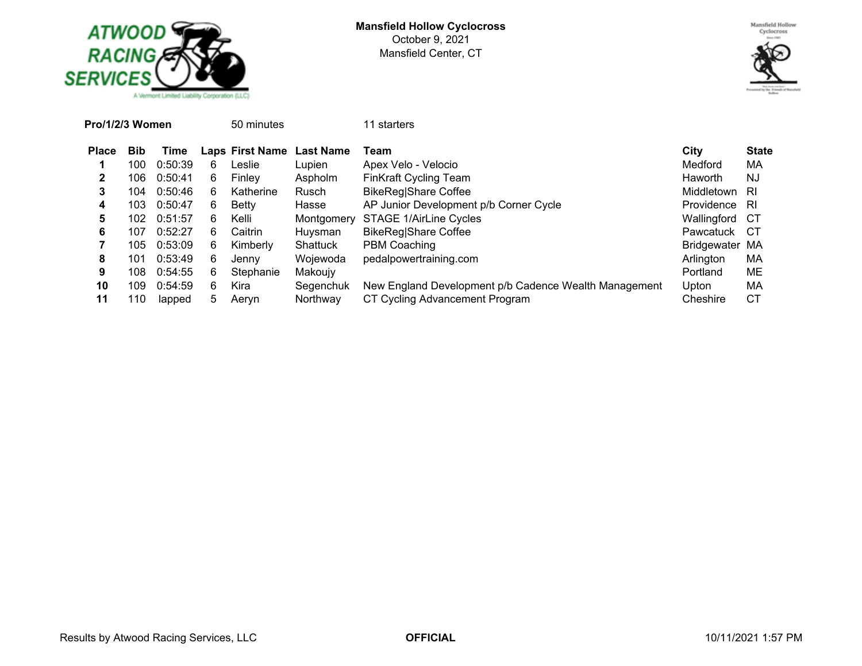



| Pro/1/2/3 Women |            |         |    | 50 minutes             |                  | 11 starters                                           |                |              |
|-----------------|------------|---------|----|------------------------|------------------|-------------------------------------------------------|----------------|--------------|
| <b>Place</b>    | <b>Bib</b> | Time    |    | <b>Laps First Name</b> | <b>Last Name</b> | Team                                                  | City           | <b>State</b> |
|                 | 100        | 0:50:39 | 6  | Leslie                 | Lupien           | Apex Velo - Velocio                                   | Medford        | МA           |
| 2               | 106        | 0:50:41 | 6. | Finley                 | Aspholm          | <b>FinKraft Cycling Team</b>                          | <b>Haworth</b> | NJ           |
| 3               | 104        | 0:50:46 | 6  | Katherine              | <b>Rusch</b>     | <b>BikeReg Share Coffee</b>                           | Middletown     | -RI          |
| 4               | 103        | 0:50:47 | 6. | <b>Betty</b>           | Hasse            | AP Junior Development p/b Corner Cycle                | Providence     | -RI          |
| 5               | 102        | 0:51:57 | 6. | Kelli                  | Montgomery       | STAGE 1/AirLine Cycles                                | Wallingford    | CT.          |
| 6               | 107        | 0:52:27 | 6. | Caitrin                | Huysman          | BikeReg Share Coffee                                  | Pawcatuck      | CT.          |
|                 | 105        | 0:53:09 | 6  | Kimberly               | Shattuck         | PBM Coaching                                          | Bridgewater MA |              |
| 8               | 101        | 0:53:49 | 6  | Jenny                  | Wojewoda         | pedalpowertraining.com                                | Arlington      | МA           |
| 9               | 108        | 0:54:55 | 6  | Stephanie              | Makoujy          |                                                       | Portland       | ME           |
| 10              | 109        | 0:54:59 | 6  | Kira                   | Segenchuk        | New England Development p/b Cadence Wealth Management | Upton          | МA           |
| 11              | 110        | lapped  | 5  | Aeryn                  | Northway         | CT Cycling Advancement Program                        | Cheshire       | СT           |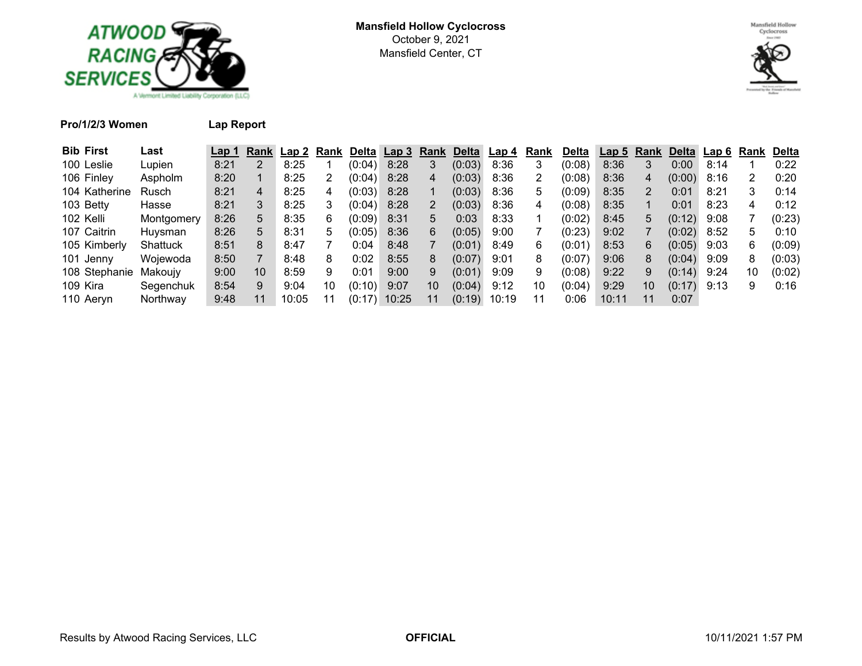



**Pro/1/2/3 Women Lap Report**

| <b>Bib First</b>      | Last       | Lap 1 | Rank | ' Lap 2 | Rank | <b>Delta</b> | Lap 3 | Rank            | <b>Delta</b> | Lap 4 | Rank | <b>Delta</b> | Lap <sub>5</sub> | Rank | Delta  | Lap 6 Rank |    | Delta       |
|-----------------------|------------|-------|------|---------|------|--------------|-------|-----------------|--------------|-------|------|--------------|------------------|------|--------|------------|----|-------------|
| 100 Leslie            | Lupien     | 8:21  |      | 8:25    |      | (0:04)       | 8:28  |                 | (0:03)       | 8:36  | 3    | (0:08)       | 8:36             |      | 0:00   | 8:14       |    | 0:22        |
| 106 Finley            | Aspholm    | 8:20  |      | 8:25    |      | (0:04)       | 8:28  |                 | (0:03)       | 8:36  |      | (0:08)       | 8:36             |      | (0:00) | 8:16       | 2  | 0:20        |
| 104 Katherine         | Rusch      | 8:21  | 4    | 8:25    | 4    | (0:03)       | 8:28  |                 | (0:03)       | 8:36  | 5    | (0:09)       | 8:35             |      | 0:01   | 8:21       | 3. | 0:14        |
| 103 Betty             | Hasse      | 8:21  | 3.   | 8:25    |      | (0:04)       | 8:28  |                 | (0:03)       | 8:36  | 4    | (0:08)       | 8:35             |      | 0:01   | 8:23       | 4  | 0:12        |
| 102 Kelli             | Montgomery | 8:26  | 5.   | 8:35    | 6    | (0:09)       | 8:31  | 5               | 0:03         | 8:33  |      | (0:02)       | 8:45             | 5    | (0:12) | 9:08       |    | (0:23)      |
| 107 Caitrin           | Huysman    | 8:26  | 5.   | 8:31    | 5    | (0:05)       | 8:36  | 6               | (0:05)       | 9:00  |      | (0:23)       | 9:02             |      | (0:02) | 8:52       | 5. | $0:10^{-7}$ |
| 105 Kimberly          | Shattuck   | 8:51  | 8    | 8:47    |      | 0:04         | 8:48  |                 | (0:01)       | 8:49  | 6    | (0:01)       | 8:53             | 6    | (0:05) | 9:03       | 6  | (0:09)      |
| 101 Jenny             | Woiewoda   | 8:50  | 7    | 8:48    | 8    | 0:02         | 8:55  | 8               | (0:07)       | 9:01  | 8    | (0:07)       | 9:06             |      | (0:04) | 9:09       | 8  | (0:03)      |
| 108 Stephanie Makoujy |            | 9:00  | 10   | 8:59    | 9    | 0:01         | 9:00  | 9               | (0:01)       | 9:09  | 9    | (0:08)       | 9:22             | 9    | (0:14) | 9:24       | 10 | (0:02)      |
| 109 Kira              | Segenchuk  | 8:54  | 9    | 9:04    | 10   | (0:10)       | 9:07  | 10 <sup>°</sup> | (0:04)       | 9:12  | 10   | (0:04)       | 9:29             | 10   | (0:17) | 9:13       | 9  | 0:16        |
| 110 Aeryn             | Northway   | 9:48  | 11   | 10:05   |      | (0:17)       | 10:25 |                 | (0:19)       | 10:19 | 11   | 0:06         | 10:11            | 11   | 0:07   |            |    |             |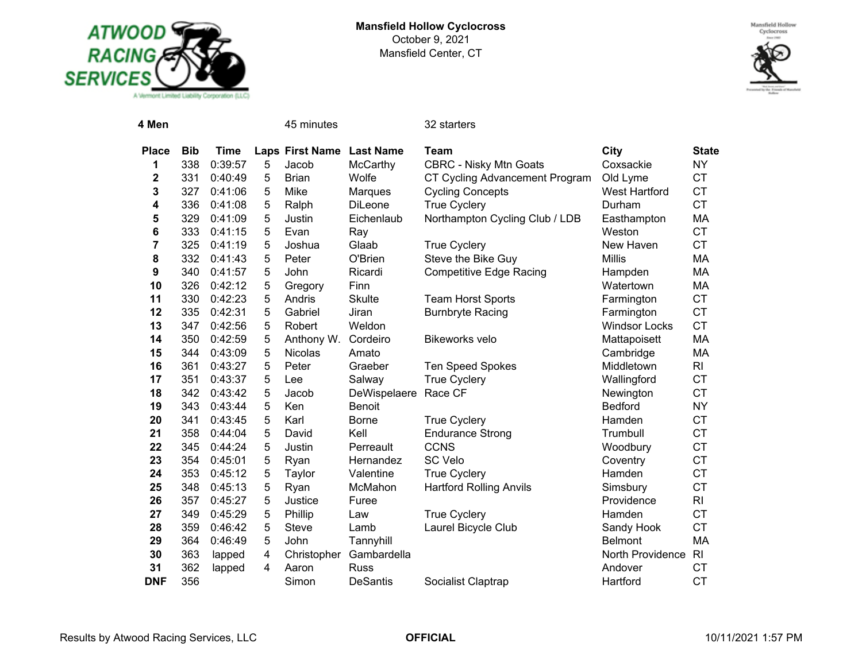



| 4 Men        |            |             |   | 45 minutes             |                  | 32 starters                    |                      |                |
|--------------|------------|-------------|---|------------------------|------------------|--------------------------------|----------------------|----------------|
| <b>Place</b> | <b>Bib</b> | <b>Time</b> |   | <b>Laps First Name</b> | <b>Last Name</b> | <b>Team</b>                    | City                 | <b>State</b>   |
| 1            | 338        | 0:39:57     | 5 | Jacob                  | McCarthy         | <b>CBRC - Nisky Mtn Goats</b>  | Coxsackie            | <b>NY</b>      |
| 2            | 331        | 0:40:49     | 5 | <b>Brian</b>           | Wolfe            | CT Cycling Advancement Program | Old Lyme             | <b>CT</b>      |
| 3            | 327        | 0:41:06     | 5 | Mike                   | Marques          | <b>Cycling Concepts</b>        | <b>West Hartford</b> | <b>CT</b>      |
| 4            | 336        | 0:41:08     | 5 | Ralph                  | <b>DiLeone</b>   | <b>True Cyclery</b>            | Durham               | <b>CT</b>      |
| 5            | 329        | 0:41:09     | 5 | Justin                 | Eichenlaub       | Northampton Cycling Club / LDB | Easthampton          | МA             |
| 6            | 333        | 0:41:15     | 5 | Evan                   | Ray              |                                | Weston               | <b>CT</b>      |
| 7            | 325        | 0:41:19     | 5 | Joshua                 | Glaab            | <b>True Cyclery</b>            | New Haven            | <b>CT</b>      |
| 8            | 332        | 0:41:43     | 5 | Peter                  | O'Brien          | Steve the Bike Guy             | <b>Millis</b>        | MA             |
| 9            | 340        | 0:41:57     | 5 | John                   | Ricardi          | <b>Competitive Edge Racing</b> | Hampden              | МA             |
| 10           | 326        | 0:42:12     | 5 | Gregory                | Finn             |                                | Watertown            | MA             |
| 11           | 330        | 0:42:23     | 5 | Andris                 | <b>Skulte</b>    | <b>Team Horst Sports</b>       | Farmington           | <b>CT</b>      |
| 12           | 335        | 0:42:31     | 5 | Gabriel                | Jiran            | <b>Burnbryte Racing</b>        | Farmington           | <b>CT</b>      |
| 13           | 347        | 0:42:56     | 5 | Robert                 | Weldon           |                                | <b>Windsor Locks</b> | <b>CT</b>      |
| 14           | 350        | 0:42:59     | 5 | Anthony W.             | Cordeiro         | <b>Bikeworks velo</b>          | Mattapoisett         | MA             |
| 15           | 344        | 0:43:09     | 5 | Nicolas                | Amato            |                                | Cambridge            | МA             |
| 16           | 361        | 0:43:27     | 5 | Peter                  | Graeber          | <b>Ten Speed Spokes</b>        | Middletown           | R <sub>l</sub> |
| 17           | 351        | 0:43:37     | 5 | Lee                    | Salway           | <b>True Cyclery</b>            | Wallingford          | <b>CT</b>      |
| 18           | 342        | 0:43:42     | 5 | Jacob                  | DeWispelaere     | Race CF                        | Newington            | <b>CT</b>      |
| 19           | 343        | 0:43:44     | 5 | Ken                    | Benoit           |                                | <b>Bedford</b>       | <b>NY</b>      |
| 20           | 341        | 0:43:45     | 5 | Karl                   | <b>Borne</b>     | <b>True Cyclery</b>            | Hamden               | <b>CT</b>      |
| 21           | 358        | 0:44:04     | 5 | David                  | Kell             | <b>Endurance Strong</b>        | Trumbull             | <b>CT</b>      |
| 22           | 345        | 0:44:24     | 5 | Justin                 | Perreault        | <b>CCNS</b>                    | Woodbury             | <b>CT</b>      |
| 23           | 354        | 0:45:01     | 5 | Ryan                   | Hernandez        | <b>SC Velo</b>                 | Coventry             | <b>CT</b>      |
| 24           | 353        | 0:45:12     | 5 | Taylor                 | Valentine        | <b>True Cyclery</b>            | Hamden               | <b>CT</b>      |
| 25           | 348        | 0:45:13     | 5 | Ryan                   | McMahon          | <b>Hartford Rolling Anvils</b> | Simsbury             | <b>CT</b>      |
| 26           | 357        | 0:45:27     | 5 | Justice                | Furee            |                                | Providence           | <b>RI</b>      |
| 27           | 349        | 0:45:29     | 5 | Phillip                | Law              | <b>True Cyclery</b>            | Hamden               | <b>CT</b>      |
| 28           | 359        | 0:46:42     | 5 | Steve                  | Lamb             | Laurel Bicycle Club            | Sandy Hook           | <b>CT</b>      |
| 29           | 364        | 0:46:49     | 5 | John                   | Tannyhill        |                                | <b>Belmont</b>       | <b>MA</b>      |
| 30           | 363        | lapped      | 4 | Christopher            | Gambardella      |                                | North Providence     | R <sub>l</sub> |
| 31           | 362        | lapped      | 4 | Aaron                  | <b>Russ</b>      |                                | Andover              | <b>CT</b>      |
| <b>DNF</b>   | 356        |             |   | Simon                  | DeSantis         | Socialist Claptrap             | Hartford             | <b>CT</b>      |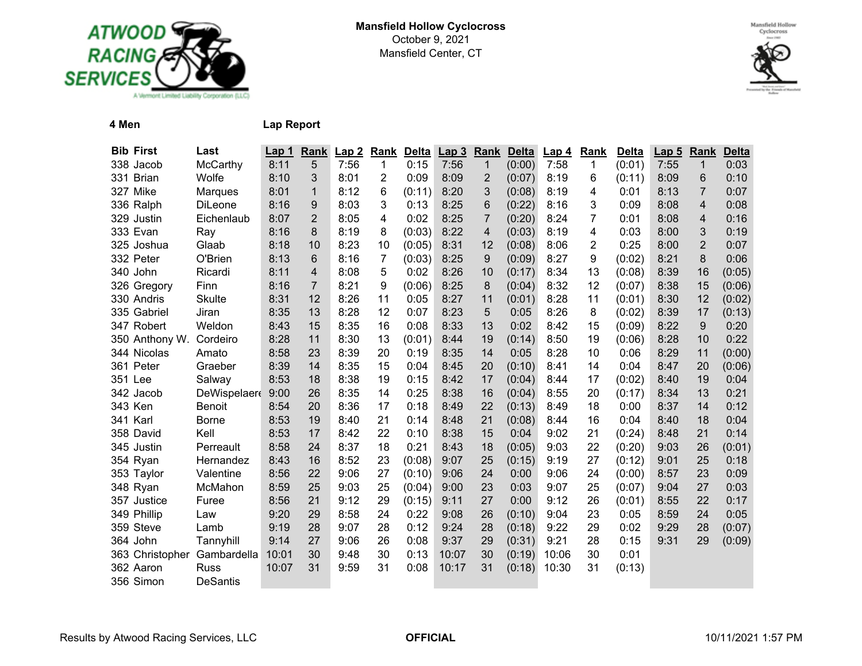



**4 Men Lap Report**

| <b>Bib First</b>            | Last            | <u>Lap 1</u> | Rank           | Lap2 | <b>Rank</b> | <b>Delta</b> | Lap <sub>3</sub> | <b>Rank</b>    | <b>Delta</b> | <u>Lap 4</u> | Rank | <b>Delta</b> | <b>Lap 5</b> | <b>Rank</b> | <b>Delta</b> |
|-----------------------------|-----------------|--------------|----------------|------|-------------|--------------|------------------|----------------|--------------|--------------|------|--------------|--------------|-------------|--------------|
| 338 Jacob                   | McCarthy        | 8:11         | 5              | 7:56 | 1           | 0:15         | 7:56             | 1              | (0:00)       | 7:58         | 1    | (0:01)       | 7:55         | $\mathbf 1$ | 0:03         |
| 331 Brian                   | Wolfe           | 8:10         | 3              | 8:01 | 2           | 0:09         | 8:09             | $\overline{2}$ | (0:07)       | 8:19         | 6    | (0:11)       | 8:09         | 6           | 0:10         |
| 327 Mike                    | Marques         | 8:01         | $\mathbf{1}$   | 8:12 | 6           | (0:11)       | 8:20             | 3              | (0:08)       | 8:19         | 4    | 0:01         | 8:13         | 7           | 0:07         |
| 336 Ralph                   | DiLeone         | 8:16         | 9              | 8:03 | 3           | 0:13         | 8:25             | 6              | (0:22)       | 8:16         | 3    | 0:09         | 8:08         | 4           | 0:08         |
| 329 Justin                  | Eichenlaub      | 8:07         | $\overline{2}$ | 8:05 | 4           | 0:02         | 8:25             | $\overline{7}$ | (0:20)       | 8:24         | 7    | 0:01         | 8:08         | 4           | 0:16         |
| 333 Evan                    | Ray             | 8:16         | 8              | 8:19 | 8           | (0:03)       | 8:22             | 4              | (0:03)       | 8:19         | 4    | 0:03         | 8:00         | 3           | 0:19         |
| 325 Joshua                  | Glaab           | 8:18         | 10             | 8:23 | 10          | (0:05)       | 8:31             | 12             | (0:08)       | 8:06         | 2    | 0:25         | 8:00         | 2           | 0:07         |
| 332 Peter                   | O'Brien         | 8:13         | 6              | 8:16 | 7           | (0:03)       | 8:25             | 9              | (0:09)       | 8:27         | 9    | (0:02)       | 8:21         | 8           | 0:06         |
| 340 John                    | Ricardi         | 8:11         | 4              | 8:08 | 5           | 0:02         | 8:26             | 10             | (0:17)       | 8:34         | 13   | (0:08)       | 8:39         | 16          | (0:05)       |
| 326 Gregory                 | Finn            | 8:16         | $\overline{7}$ | 8:21 | 9           | (0:06)       | 8:25             | 8              | (0:04)       | 8:32         | 12   | (0:07)       | 8:38         | 15          | (0:06)       |
| 330 Andris                  | <b>Skulte</b>   | 8:31         | 12             | 8:26 | 11          | 0:05         | 8:27             | 11             | (0:01)       | 8:28         | 11   | (0:01)       | 8:30         | 12          | (0:02)       |
| 335 Gabriel                 | Jiran           | 8:35         | 13             | 8:28 | 12          | 0:07         | 8:23             | 5              | 0:05         | 8:26         | 8    | (0:02)       | 8:39         | 17          | (0:13)       |
| 347 Robert                  | Weldon          | 8:43         | 15             | 8:35 | 16          | 0:08         | 8:33             | 13             | 0:02         | 8:42         | 15   | (0:09)       | 8:22         | 9           | 0:20         |
| 350 Anthony W.              | Cordeiro        | 8:28         | 11             | 8:30 | 13          | (0:01)       | 8:44             | 19             | (0:14)       | 8:50         | 19   | (0:06)       | 8:28         | 10          | 0:22         |
| 344 Nicolas                 | Amato           | 8:58         | 23             | 8:39 | 20          | 0:19         | 8:35             | 14             | 0:05         | 8:28         | 10   | 0:06         | 8:29         | 11          | (0:00)       |
| 361 Peter                   | Graeber         | 8:39         | 14             | 8:35 | 15          | 0:04         | 8:45             | 20             | (0:10)       | 8:41         | 14   | 0:04         | 8:47         | 20          | (0:06)       |
| 351 Lee                     | Salway          | 8:53         | 18             | 8:38 | 19          | 0:15         | 8:42             | 17             | (0:04)       | 8:44         | 17   | (0:02)       | 8:40         | 19          | 0:04         |
| 342 Jacob                   | DeWispelaer     | 9:00         | 26             | 8:35 | 14          | 0:25         | 8:38             | 16             | (0:04)       | 8:55         | 20   | (0:17)       | 8:34         | 13          | 0:21         |
| 343 Ken                     | Benoit          | 8:54         | 20             | 8:36 | 17          | 0:18         | 8:49             | 22             | (0:13)       | 8:49         | 18   | 0:00         | 8:37         | 14          | 0:12         |
| 341 Karl                    | <b>Borne</b>    | 8:53         | 19             | 8:40 | 21          | 0:14         | 8:48             | 21             | (0:08)       | 8:44         | 16   | 0:04         | 8:40         | 18          | 0:04         |
| 358 David                   | Kell            | 8:53         | 17             | 8:42 | 22          | 0:10         | 8:38             | 15             | 0:04         | 9:02         | 21   | (0:24)       | 8:48         | 21          | 0:14         |
| 345 Justin                  | Perreault       | 8:58         | 24             | 8:37 | 18          | 0:21         | 8:43             | 18             | (0:05)       | 9:03         | 22   | (0:20)       | 9:03         | 26          | (0:01)       |
| 354 Ryan                    | Hernandez       | 8:43         | 16             | 8:52 | 23          | (0:08)       | 9:07             | 25             | (0:15)       | 9:19         | 27   | (0:12)       | 9:01         | 25          | 0:18         |
| 353 Taylor                  | Valentine       | 8:56         | 22             | 9:06 | 27          | (0:10)       | 9:06             | 24             | 0:00         | 9:06         | 24   | (0:00)       | 8:57         | 23          | 0:09         |
| 348 Ryan                    | McMahon         | 8:59         | 25             | 9:03 | 25          | (0:04)       | 9:00             | 23             | 0:03         | 9:07         | 25   | (0:07)       | 9:04         | 27          | 0:03         |
| 357 Justice                 | Furee           | 8:56         | 21             | 9:12 | 29          | (0:15)       | 9:11             | 27             | 0:00         | 9:12         | 26   | (0:01)       | 8:55         | 22          | 0:17         |
| 349 Phillip                 | Law             | 9:20         | 29             | 8:58 | 24          | 0:22         | 9:08             | 26             | (0:10)       | 9:04         | 23   | 0:05         | 8:59         | 24          | 0:05         |
| 359 Steve                   | Lamb            | 9:19         | 28             | 9:07 | 28          | 0:12         | 9:24             | 28             | (0:18)       | 9:22         | 29   | 0:02         | 9:29         | 28          | (0:07)       |
| 364 John                    | Tannyhill       | 9:14         | 27             | 9:06 | 26          | 0:08         | 9:37             | 29             | (0:31)       | 9:21         | 28   | 0:15         | 9:31         | 29          | (0:09)       |
| 363 Christopher Gambardella |                 | 10:01        | 30             | 9:48 | 30          | 0:13         | 10:07            | 30             | (0:19)       | 10:06        | 30   | 0:01         |              |             |              |
| 362 Aaron                   | <b>Russ</b>     | 10:07        | 31             | 9:59 | 31          | 0:08         | 10:17            | 31             | (0:18)       | 10:30        | 31   | (0:13)       |              |             |              |
| 356 Simon                   | <b>DeSantis</b> |              |                |      |             |              |                  |                |              |              |      |              |              |             |              |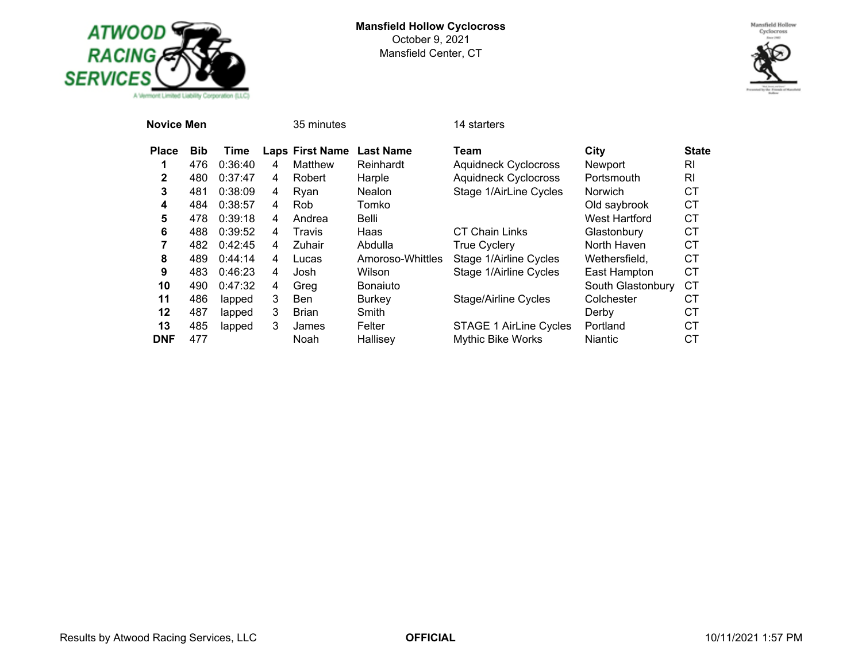



| Novice Men   |            |         |   | 35 minutes             |                  | 14 starters                   |                   |              |
|--------------|------------|---------|---|------------------------|------------------|-------------------------------|-------------------|--------------|
| <b>Place</b> | <b>Bib</b> | Time    |   | <b>Laps First Name</b> | <b>Last Name</b> | Team                          | City              | <b>State</b> |
|              | 476        | 0:36:40 | 4 | Matthew                | Reinhardt        | <b>Aquidneck Cyclocross</b>   | Newport           | RI           |
| 2            | 480        | 0:37:47 | 4 | Robert                 | Harple           | <b>Aquidneck Cyclocross</b>   | Portsmouth        | RI           |
| 3            | 481        | 0:38:09 | 4 | Ryan                   | <b>Nealon</b>    | Stage 1/AirLine Cycles        | Norwich           | СT           |
| 4            | 484        | 0:38:57 | 4 | Rob.                   | Tomko            |                               | Old saybrook      | СT           |
| 5            | 478        | 0:39:18 | 4 | Andrea                 | Belli            |                               | West Hartford     | <b>CT</b>    |
| 6            | 488        | 0:39:52 | 4 | Travis                 | Haas             | <b>CT Chain Links</b>         | Glastonbury       | <b>CT</b>    |
| 7            | 482        | 0:42:45 | 4 | Zuhair                 | Abdulla          | <b>True Cyclery</b>           | North Haven       | СT           |
| 8            | 489        | 0:44:14 | 4 | Lucas                  | Amoroso-Whittles | Stage 1/Airline Cycles        | Wethersfield.     | СT           |
| 9            | 483        | 0:46:23 | 4 | Josh                   | Wilson           | Stage 1/Airline Cycles        | East Hampton      | СT           |
| 10           | 490        | 0:47:32 | 4 | Greg                   | <b>Bonaiuto</b>  |                               | South Glastonbury | <b>CT</b>    |
| 11           | 486        | lapped  | 3 | <b>Ben</b>             | <b>Burkey</b>    | <b>Stage/Airline Cycles</b>   | Colchester        | СT           |
| 12           | 487        | lapped  | 3 | <b>Brian</b>           | Smith            |                               | Derby             | СT           |
| 13           | 485        | lapped  | 3 | James                  | Felter           | <b>STAGE 1 AirLine Cycles</b> | Portland          | СT           |
| <b>DNF</b>   | 477        |         |   | Noah                   | Hallisey         | <b>Mythic Bike Works</b>      | <b>Niantic</b>    | СT           |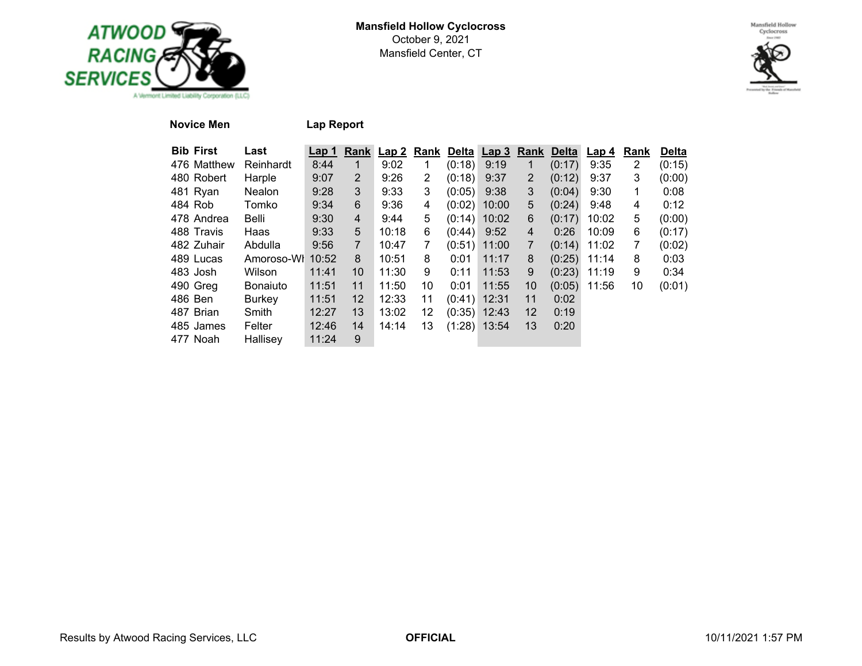



## **Novice Men Lap Report**

| <b>Bib First</b> | Last            | Lap 1 | Rank           | Lap <sub>2</sub> | Rank | <b>Delta</b>   | Lap <sub>3</sub> | Rank           | <b>Delta</b> | Lap 4 | Rank           | <b>Delta</b> |
|------------------|-----------------|-------|----------------|------------------|------|----------------|------------------|----------------|--------------|-------|----------------|--------------|
| 476 Matthew      | Reinhardt       | 8:44  |                | 9:02             |      | (0:18)         | 9:19             | 1              | (0:17)       | 9:35  | $\overline{2}$ | (0:15)       |
| 480 Robert       | Harple          | 9:07  | $\overline{2}$ | 9:26             | 2    | (0:18)         | 9:37             | $\overline{2}$ | (0:12)       | 9:37  | 3              | (0:00)       |
| 481 Ryan         | <b>Nealon</b>   | 9:28  | 3              | 9:33             | 3    | (0:05)         | 9:38             | 3              | (0:04)       | 9:30  | 1              | 0:08         |
| 484 Rob          | Tomko           | 9:34  | 6              | 9:36             | 4    | (0:02)         | 10:00            | 5              | (0:24)       | 9:48  | 4              | 0:12         |
| 478 Andrea       | Belli           | 9:30  | 4              | 9:44             | 5    | (0:14)         | 10:02            | 6              | (0:17)       | 10:02 | 5              | (0:00)       |
| 488 Travis       | Haas            | 9:33  | 5              | 10:18            | 6    | (0:44)         | 9:52             | 4              | 0:26         | 10:09 | 6              | (0:17)       |
| 482 Zuhair       | Abdulla         | 9:56  | $\overline{7}$ | 10:47            |      | (0:51)         | 11:00            | $\overline{7}$ | (0:14)       | 11:02 | 7              | (0:02)       |
| 489 Lucas        | Amoroso-Wh      | 10:52 | 8              | 10:51            | 8    | 0:01           | 11:17            | 8              | (0:25)       | 11:14 | 8              | 0:03         |
| 483 Josh         | Wilson          | 11:41 | 10             | 11:30            | 9    | 0:11           | 11:53            | 9              | (0:23)       | 11:19 | 9              | 0:34         |
| 490 Greg         | <b>Bonaiuto</b> | 11:51 | 11             | 11:50            | 10   | 0:01           | 11:55            | 10             | (0:05)       | 11:56 | 10             | (0:01)       |
| 486 Ben          | <b>Burkey</b>   | 11:51 | 12             | 12:33            | 11   | $(0:41)$ 12:31 |                  | 11             | 0:02         |       |                |              |
| 487 Brian        | Smith           | 12:27 | 13             | 13:02            | 12   |                | $(0:35)$ 12:43   | 12             | 0:19         |       |                |              |
| 485 James        | Felter          | 12:46 | 14             | 14:14            | 13   |                | $(1:28)$ 13:54   | 13             | 0:20         |       |                |              |
| 477 Noah         | Hallisey        | 11:24 | 9              |                  |      |                |                  |                |              |       |                |              |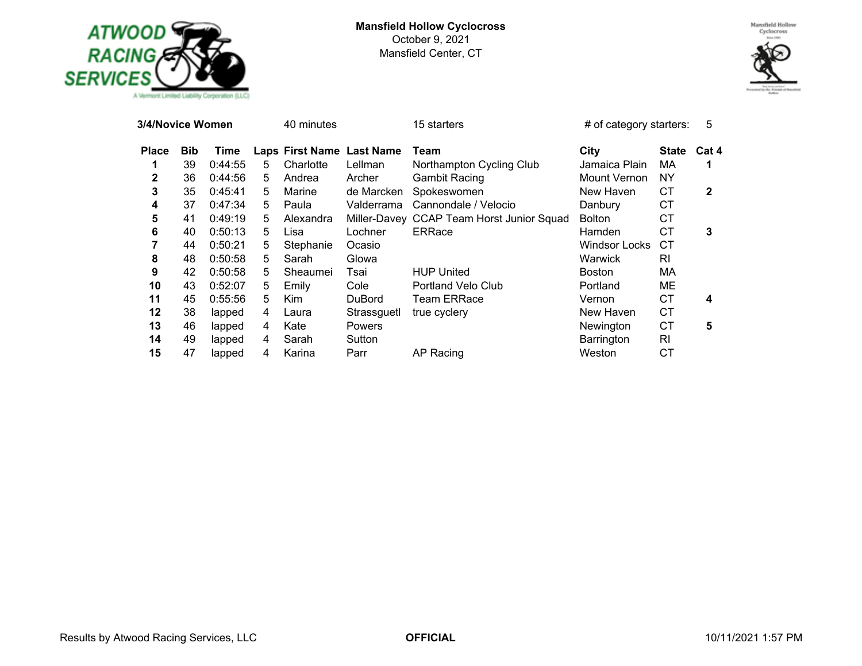

#### **Mansfield Hollow Cyclocross** October 9, 2021 Mansfield Center, CT



| 3/4/Novice Women |            |         |   | 40 minutes                |               | 15 starters                               | $#$ of category starters: |              | 5     |
|------------------|------------|---------|---|---------------------------|---------------|-------------------------------------------|---------------------------|--------------|-------|
| <b>Place</b>     | <b>Bib</b> | Time    |   | Laps First Name Last Name |               | Team                                      | City                      | <b>State</b> | Cat 4 |
|                  | 39         | 0:44:55 | 5 | Charlotte                 | Lellman       | Northampton Cycling Club                  | Jamaica Plain             | МA           |       |
| 2                | 36         | 0:44:56 | 5 | Andrea                    | Archer        | <b>Gambit Racing</b>                      | Mount Vernon              | <b>NY</b>    |       |
| 3                | 35         | 0:45:41 | 5 | Marine                    | de Marcken    | Spokeswomen                               | New Haven                 | СT           | 2     |
| 4                | 37         | 0:47:34 | 5 | Paula                     | Valderrama    | Cannondale / Velocio                      | Danbury                   | <b>CT</b>    |       |
| 5                | 41         | 0:49:19 | 5 | Alexandra                 |               | Miller-Davey CCAP Team Horst Junior Squad | <b>Bolton</b>             | СT           |       |
| 6                | 40         | 0:50:13 | 5 | Lisa                      | Lochner       | <b>ERRace</b>                             | Hamden                    | СT           | 3     |
| 7                | 44         | 0:50:21 | 5 | Stephanie                 | Ocasio        |                                           | Windsor Locks             | СT           |       |
| 8                | 48         | 0:50:58 | 5 | Sarah                     | Glowa         |                                           | Warwick                   | RI           |       |
| 9                | 42         | 0:50:58 | 5 | Sheaumei                  | Tsai          | <b>HUP United</b>                         | Boston                    | МA           |       |
| 10               | 43         | 0:52:07 | 5 | Emily                     | Cole          | Portland Velo Club                        | Portland                  | MЕ           |       |
| 11               | 45         | 0:55:56 | 5 | Kim                       | <b>DuBord</b> | Team ERRace                               | Vernon                    | СT           | 4     |
| 12               | 38         | lapped  | 4 | Laura                     | Strassguetl   | true cyclery                              | New Haven                 | СT           |       |
| 13               | 46         | lapped  | 4 | Kate                      | <b>Powers</b> |                                           | Newington                 | <b>CT</b>    | 5     |
| 14               | 49         | lapped  | 4 | Sarah                     | Sutton        |                                           | Barrington                | RI           |       |
| 15               | 47         | lapped  | 4 | Karina                    | Parr          | AP Racing                                 | Weston                    | СT           |       |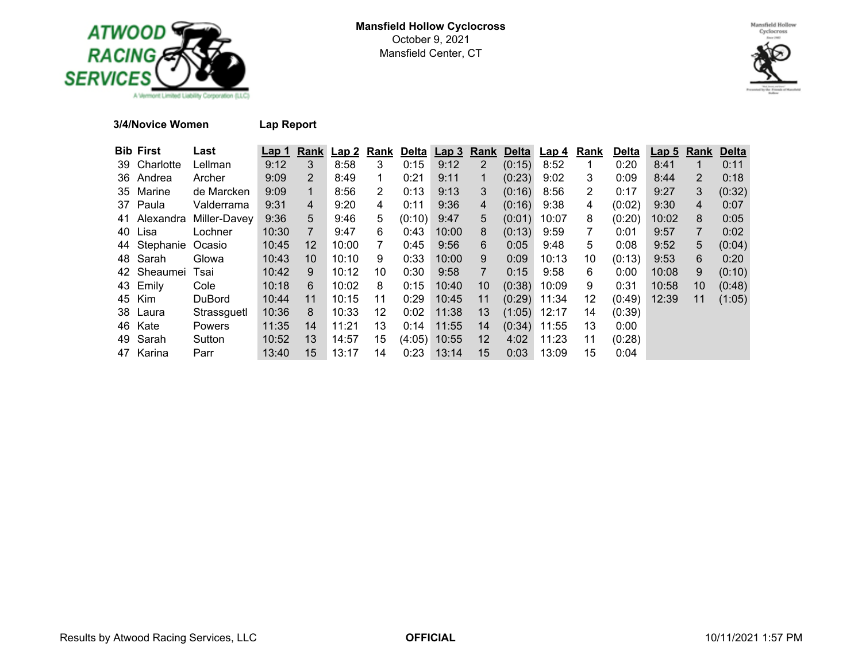



## **3/4/Novice Women Lap Report**

| <b>Bib First</b> | Last          | Lap 1 | Rank              | Lap 2 | Rank | Delta  | Lap3  | Rank              | <b>Delta</b> | Lap 4 | Rank | <b>Delta</b> | Lap <sub>5</sub> | Rank | <b>Delta</b> |
|------------------|---------------|-------|-------------------|-------|------|--------|-------|-------------------|--------------|-------|------|--------------|------------------|------|--------------|
| 39 Charlotte     | Lellman       | 9:12  | 3                 | 8:58  | 3    | 0:15   | 9:12  | 2                 | (0:15)       | 8:52  |      | 0:20         | 8:41             |      | 0:11         |
| 36 Andrea        | Archer        | 9:09  | 2                 | 8:49  |      | 0:21   | 9:11  |                   | (0:23)       | 9:02  | 3.   | 0:09         | 8:44             | 2    | 0:18         |
| 35 Marine        | de Marcken    | 9:09  | 1                 | 8:56  | 2    | 0:13   | 9:13  | 3                 | (0:16)       | 8:56  | 2    | 0:17         | 9:27             | 3    | (0:32)       |
| 37 Paula         | Valderrama    | 9:31  | $\overline{4}$    | 9:20  | 4    | 0:11   | 9:36  | 4                 | (0:16)       | 9:38  | 4    | (0:02)       | 9:30             | 4    | 0:07         |
| 41 Alexandra     | Miller-Davev  | 9:36  | 5                 | 9:46  | 5.   | (0:10) | 9:47  | 5                 | (0:01)       | 10:07 | 8    | (0:20)       | 10:02            | 8    | 0:05         |
| 40 Lisa          | Lochner       | 10:30 | 7                 | 9:47  | 6    | 0:43   | 10:00 | 8                 | (0:13)       | 9:59  |      | 0:01         | 9:57             | 7    | 0:02         |
| 44 Stephanie     | Ocasio        | 10:45 | $12 \overline{ }$ | 10:00 | 7    | 0:45   | 9:56  | 6                 | 0:05         | 9:48  | 5    | 0:08         | 9:52             | 5    | (0:04)       |
| 48 Sarah         | Glowa         | 10:43 | 10                | 10:10 | 9    | 0:33   | 10:00 | 9                 | 0:09         | 10:13 | 10   | (0:13)       | 9:53             | 6    | 0:20         |
| 42 Sheaumei      | Tsai          | 10:42 | 9                 | 10:12 | 10   | 0:30   | 9:58  | $\overline{7}$    | 0:15         | 9:58  | 6    | 0:00         | 10:08            | 9    | (0:10)       |
| 43 Emily         | Cole          | 10:18 | 6                 | 10:02 | 8    | 0:15   | 10:40 | 10                | (0:38)       | 10:09 | 9    | 0:31         | 10:58            | 10   | (0:48)       |
| 45 Kim           | <b>DuBord</b> | 10:44 | 11                | 10:15 | 11   | 0:29   | 10:45 | 11                | (0:29)       | 11:34 | 12   | (0:49)       | 12:39            | 11   | (1:05)       |
| 38 Laura         | Strassguetl   | 10:36 | 8                 | 10:33 | 12   | 0:02   | 11:38 | 13                | (1:05)       | 12:17 | 14   | (0:39)       |                  |      |              |
| 46 Kate          | <b>Powers</b> | 11:35 | 14                | 11:21 | 13   | 0:14   | 11:55 | 14                | (0:34)       | 11:55 | 13   | 0:00         |                  |      |              |
| 49 Sarah         | Sutton        | 10:52 | 13                | 14:57 | 15   | (4:05) | 10:55 | $12 \overline{ }$ | 4:02         | 11:23 | 11   | (0:28)       |                  |      |              |
| 47 Karina        | Parr          | 13:40 | 15                | 13:17 | 14   | 0:23   | 13:14 | 15                | 0:03         | 13:09 | 15   | 0:04         |                  |      |              |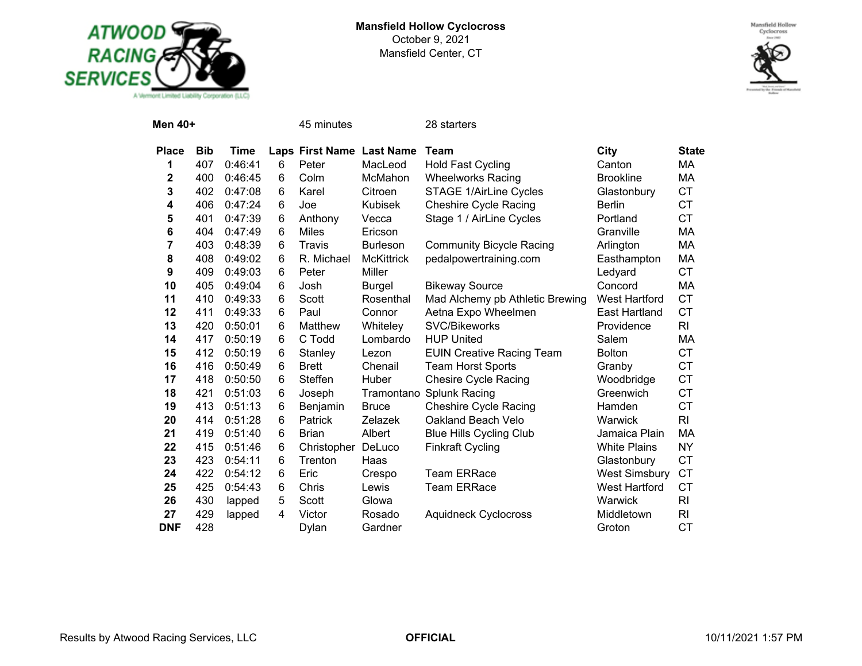

#### **Mansfield Hollow Cyclocross** October 9, 2021 Mansfield Center, CT



| Men 40+      |            |         |   | 45 minutes                |                   | 28 starters                      |                      |                |
|--------------|------------|---------|---|---------------------------|-------------------|----------------------------------|----------------------|----------------|
| <b>Place</b> | <b>Bib</b> | Time    |   | Laps First Name Last Name |                   | Team                             | <b>City</b>          | <b>State</b>   |
| 1            | 407        | 0:46:41 | 6 | Peter                     | MacLeod           | <b>Hold Fast Cycling</b>         | Canton               | МA             |
| 2            | 400        | 0:46:45 | 6 | Colm                      | McMahon           | <b>Wheelworks Racing</b>         | <b>Brookline</b>     | MA             |
| 3            | 402        | 0:47:08 | 6 | Karel                     | Citroen           | <b>STAGE 1/AirLine Cycles</b>    | Glastonbury          | <b>CT</b>      |
| 4            | 406        | 0:47:24 | 6 | Joe                       | Kubisek           | <b>Cheshire Cycle Racing</b>     | <b>Berlin</b>        | <b>CT</b>      |
| 5            | 401        | 0:47:39 | 6 | Anthony                   | Vecca             | Stage 1 / AirLine Cycles         | Portland             | <b>CT</b>      |
| 6            | 404        | 0:47:49 | 6 | <b>Miles</b>              | Ericson           |                                  | Granville            | MA             |
| 7            | 403        | 0:48:39 | 6 | Travis                    | <b>Burleson</b>   | <b>Community Bicycle Racing</b>  | Arlington            | MA             |
| 8            | 408        | 0:49:02 | 6 | R. Michael                | <b>McKittrick</b> | pedalpowertraining.com           | Easthampton          | MA             |
| 9            | 409        | 0:49:03 | 6 | Peter                     | Miller            |                                  | Ledyard              | <b>CT</b>      |
| 10           | 405        | 0:49:04 | 6 | Josh                      | <b>Burgel</b>     | <b>Bikeway Source</b>            | Concord              | MA             |
| 11           | 410        | 0:49:33 | 6 | Scott                     | Rosenthal         | Mad Alchemy pb Athletic Brewing  | <b>West Hartford</b> | <b>CT</b>      |
| 12           | 411        | 0:49:33 | 6 | Paul                      | Connor            | Aetna Expo Wheelmen              | East Hartland        | <b>CT</b>      |
| 13           | 420        | 0:50:01 | 6 | Matthew                   | Whiteley          | SVC/Bikeworks                    | Providence           | R <sub>l</sub> |
| 14           | 417        | 0:50:19 | 6 | C Todd                    | Lombardo          | <b>HUP United</b>                | Salem                | МA             |
| 15           | 412        | 0:50:19 | 6 | Stanley                   | Lezon             | <b>EUIN Creative Racing Team</b> | <b>Bolton</b>        | <b>CT</b>      |
| 16           | 416        | 0:50:49 | 6 | <b>Brett</b>              | Chenail           | <b>Team Horst Sports</b>         | Granby               | <b>CT</b>      |
| 17           | 418        | 0:50:50 | 6 | Steffen                   | Huber             | <b>Chesire Cycle Racing</b>      | Woodbridge           | <b>CT</b>      |
| 18           | 421        | 0:51:03 | 6 | Joseph                    |                   | Tramontano Splunk Racing         | Greenwich            | <b>CT</b>      |
| 19           | 413        | 0:51:13 | 6 | Benjamin                  | <b>Bruce</b>      | <b>Cheshire Cycle Racing</b>     | Hamden               | <b>CT</b>      |
| 20           | 414        | 0:51:28 | 6 | Patrick                   | Zelazek           | Oakland Beach Velo               | Warwick              | R <sub>l</sub> |
| 21           | 419        | 0:51:40 | 6 | <b>Brian</b>              | Albert            | <b>Blue Hills Cycling Club</b>   | Jamaica Plain        | МA             |
| 22           | 415        | 0:51:46 | 6 | Christopher               | DeLuco            | <b>Finkraft Cycling</b>          | <b>White Plains</b>  | <b>NY</b>      |
| 23           | 423        | 0:54:11 | 6 | Trenton                   | Haas              |                                  | Glastonbury          | <b>CT</b>      |
| 24           | 422        | 0:54:12 | 6 | Eric                      | Crespo            | <b>Team ERRace</b>               | <b>West Simsbury</b> | <b>CT</b>      |
| 25           | 425        | 0:54:43 | 6 | Chris                     | Lewis             | <b>Team ERRace</b>               | <b>West Hartford</b> | СT             |
| 26           | 430        | lapped  | 5 | Scott                     | Glowa             |                                  | Warwick              | R <sub>l</sub> |
| 27           | 429        | lapped  | 4 | Victor                    | Rosado            | <b>Aquidneck Cyclocross</b>      | Middletown           | RI             |
| <b>DNF</b>   | 428        |         |   | Dylan                     | Gardner           |                                  | Groton               | <b>CT</b>      |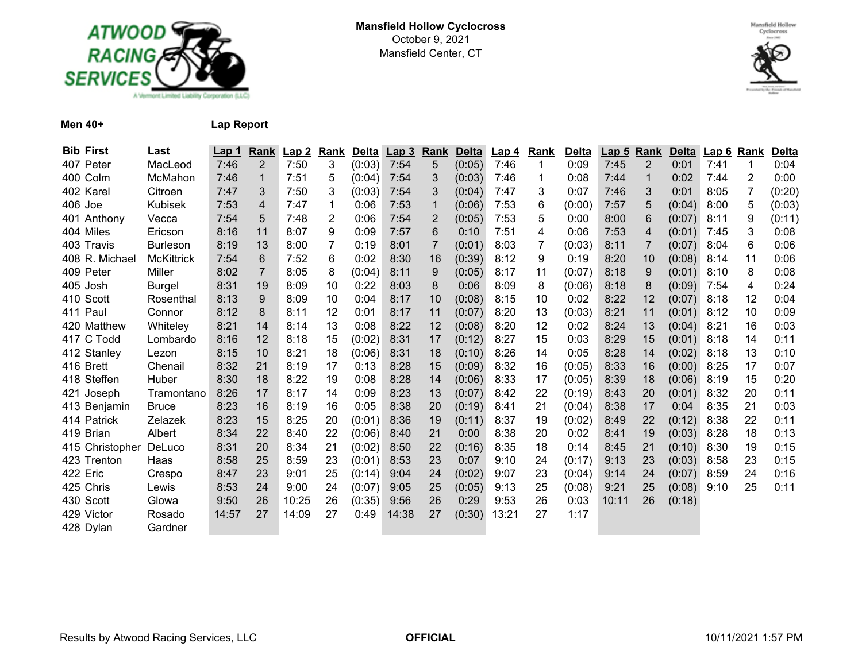



**Men 40+ Lap Report**

| <b>Bib First</b> | Last              | Lap 1 | Rank           | Lap2  | Rank | <b>Delta</b> | Lap <sub>3</sub> | Rank           | <b>Delta</b> | Lap <sub>4</sub> | Rank | Delta  | Lap <sub>5</sub> | Rank           | <b>Delta</b> | Lap 6 | Rank           | <b>Delta</b> |
|------------------|-------------------|-------|----------------|-------|------|--------------|------------------|----------------|--------------|------------------|------|--------|------------------|----------------|--------------|-------|----------------|--------------|
| 407 Peter        | MacLeod           | 7:46  | $\overline{2}$ | 7:50  | 3    | (0:03)       | 7:54             | 5              | (0:05)       | 7:46             |      | 0:09   | 7:45             | $\overline{2}$ | 0:01         | 7:41  |                | 0:04         |
| 400 Colm         | McMahon           | 7:46  | 1              | 7:51  | 5    | (0:04)       | 7:54             | 3              | (0:03)       | 7:46             |      | 0:08   | 7:44             | 1              | 0:02         | 7:44  | $\overline{2}$ | 0:00         |
| 402 Karel        | Citroen           | 7:47  | 3              | 7:50  | 3    | (0:03)       | 7:54             | 3              | (0:04)       | 7:47             | 3    | 0:07   | 7:46             | 3              | 0:01         | 8:05  | 7              | (0:20)       |
| 406 Joe          | Kubisek           | 7:53  | 4              | 7:47  | 1    | 0:06         | 7:53             | 1              | (0:06)       | 7:53             | 6    | (0:00) | 7:57             | 5              | (0:04)       | 8:00  | 5              | (0:03)       |
| 401 Anthony      | Vecca             | 7:54  | 5              | 7:48  | 2    | 0:06         | 7:54             | 2              | (0:05)       | 7:53             | 5    | 0:00   | 8:00             | 6              | (0:07)       | 8:11  | 9              | (0:11)       |
| 404 Miles        | Ericson           | 8:16  | 11             | 8:07  | 9    | 0:09         | 7:57             | 6              | 0:10         | 7:51             | 4    | 0:06   | 7:53             | 4              | (0:01)       | 7:45  | 3              | 0:08         |
| 403 Travis       | <b>Burleson</b>   | 8:19  | 13             | 8:00  | 7    | 0:19         | 8:01             | $\overline{7}$ | (0:01)       | 8:03             |      | (0:03) | 8:11             | $\overline{7}$ | (0:07)       | 8:04  | 6              | 0:06         |
| 408 R. Michael   | <b>McKittrick</b> | 7:54  | 6              | 7:52  | 6    | 0:02         | 8:30             | 16             | (0:39)       | 8:12             | 9    | 0:19   | 8:20             | 10             | (0:08)       | 8:14  | 11             | 0:06         |
| 409 Peter        | Miller            | 8:02  | $\overline{7}$ | 8:05  | 8    | (0:04)       | 8:11             | 9              | (0:05)       | 8:17             | 11   | (0:07) | 8:18             | 9              | (0:01)       | 8:10  | 8              | 0:08         |
| 405 Josh         | Burgel            | 8:31  | 19             | 8:09  | 10   | 0:22         | 8:03             | 8              | 0:06         | 8:09             | 8    | (0:06) | 8:18             | 8              | (0:09)       | 7:54  | 4              | 0:24         |
| 410 Scott        | Rosenthal         | 8:13  | 9              | 8:09  | 10   | 0:04         | 8:17             | 10             | (0:08)       | 8:15             | 10   | 0:02   | 8:22             | 12             | (0:07)       | 8:18  | 12             | 0:04         |
| 411 Paul         | Connor            | 8:12  | 8              | 8:11  | 12   | 0:01         | 8:17             | 11             | (0:07)       | 8:20             | 13   | (0:03) | 8:21             | 11             | (0:01)       | 8:12  | 10             | 0:09         |
| 420 Matthew      | Whiteley          | 8:21  | 14             | 8:14  | 13   | 0:08         | 8:22             | 12             | (0:08)       | 8:20             | 12   | 0:02   | 8:24             | 13             | (0:04)       | 8:21  | 16             | 0:03         |
| 417 C Todd       | Lombardo          | 8:16  | 12             | 8:18  | 15   | (0:02)       | 8:31             | 17             | (0:12)       | 8:27             | 15   | 0:03   | 8:29             | 15             | (0:01)       | 8:18  | 14             | 0:11         |
| 412 Stanley      | Lezon             | 8:15  | 10             | 8:21  | 18   | (0:06)       | 8:31             | 18             | (0:10)       | 8:26             | 14   | 0:05   | 8:28             | 14             | (0:02)       | 8:18  | 13             | 0:10         |
| 416 Brett        | Chenail           | 8:32  | 21             | 8:19  | 17   | 0:13         | 8:28             | 15             | (0:09)       | 8:32             | 16   | (0:05) | 8:33             | 16             | (0:00)       | 8:25  | 17             | 0:07         |
| 418 Steffen      | Huber             | 8:30  | 18             | 8:22  | 19   | 0:08         | 8:28             | 14             | (0:06)       | 8:33             | 17   | (0:05) | 8:39             | 18             | (0:06)       | 8:19  | 15             | 0:20         |
| 421 Joseph       | Tramontano        | 8:26  | 17             | 8:17  | 14   | 0:09         | 8:23             | 13             | (0:07)       | 8:42             | 22   | (0:19) | 8:43             | 20             | (0:01)       | 8:32  | 20             | 0:11         |
| 413 Benjamin     | Bruce             | 8:23  | 16             | 8:19  | 16   | 0:05         | 8:38             | 20             | (0:19)       | 8:41             | 21   | (0:04) | 8:38             | 17             | 0:04         | 8:35  | 21             | 0:03         |
| 414 Patrick      | Zelazek           | 8:23  | 15             | 8:25  | 20   | (0:01)       | 8:36             | 19             | (0:11)       | 8:37             | 19   | (0:02) | 8:49             | 22             | (0:12)       | 8:38  | 22             | 0:11         |
| 419 Brian        | Albert            | 8:34  | 22             | 8:40  | 22   | (0:06)       | 8:40             | 21             | 0:00         | 8:38             | 20   | 0:02   | 8:41             | 19             | (0:03)       | 8:28  | 18             | 0:13         |
| 415 Christopher  | DeLuco            | 8:31  | 20             | 8:34  | 21   | (0:02)       | 8:50             | 22             | (0:16)       | 8:35             | 18   | 0:14   | 8:45             | 21             | (0:10)       | 8:30  | 19             | 0:15         |
| 423 Trenton      | Haas              | 8:58  | 25             | 8:59  | 23   | (0:01)       | 8:53             | 23             | 0:07         | 9:10             | 24   | (0:17) | 9:13             | 23             | (0:03)       | 8:58  | 23             | 0:15         |
| 422 Eric         | Crespo            | 8:47  | 23             | 9:01  | 25   | (0:14)       | 9:04             | 24             | (0:02)       | 9:07             | 23   | (0:04) | 9:14             | 24             | (0:07)       | 8:59  | 24             | 0:16         |
| 425 Chris        | Lewis             | 8:53  | 24             | 9:00  | 24   | (0:07)       | 9:05             | 25             | (0:05)       | 9:13             | 25   | (0:08) | 9:21             | 25             | (0:08)       | 9:10  | 25             | 0:11         |
| 430 Scott        | Glowa             | 9:50  | 26             | 10:25 | 26   | (0:35)       | 9:56             | 26             | 0:29         | 9:53             | 26   | 0:03   | 10:11            | 26             | (0:18)       |       |                |              |
| 429 Victor       | Rosado            | 14:57 | 27             | 14:09 | 27   | 0:49         | 14:38            | 27             | (0:30)       | 13:21            | 27   | 1:17   |                  |                |              |       |                |              |
| 428 Dylan        | Gardner           |       |                |       |      |              |                  |                |              |                  |      |        |                  |                |              |       |                |              |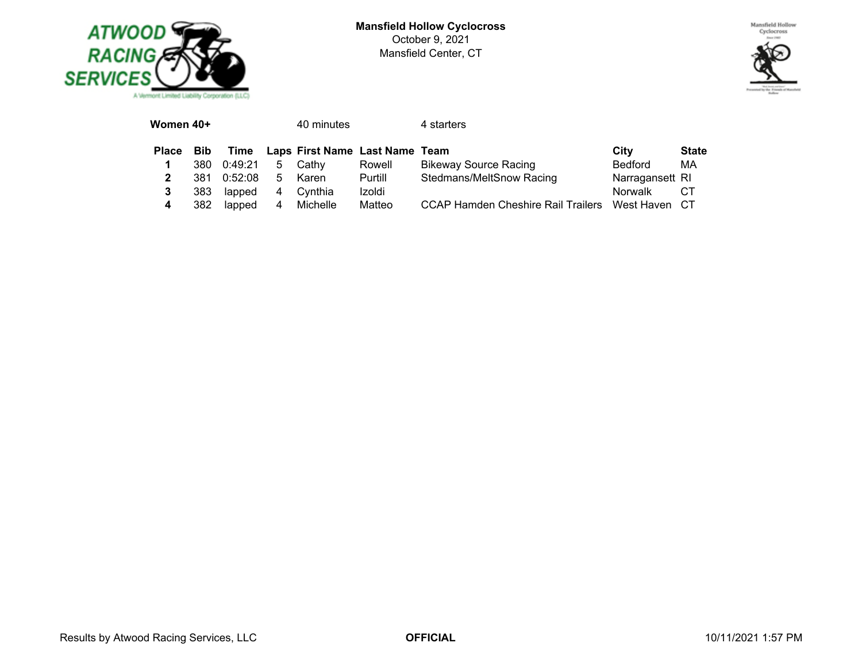



| Women 40+    |            |         |    | 40 minutes                     |         | 4 starters                                |                 |              |
|--------------|------------|---------|----|--------------------------------|---------|-------------------------------------------|-----------------|--------------|
| <b>Place</b> | <b>Bib</b> | Time    |    | Laps First Name Last Name Team |         |                                           | City            | <b>State</b> |
|              | 380        | 0:49:21 | 5  | Cathv                          | Rowell  | <b>Bikeway Source Racing</b>              | <b>Bedford</b>  | МA           |
| 2            | 381        | 0:52:08 | 5. | Karen                          | Purtill | Stedmans/MeltSnow Racing                  | Narragansett RI |              |
| 3            | 383        | lapped  | 4  | Cvnthia                        | Izoldi  |                                           | <b>Norwalk</b>  | CТ           |
| 4            | 382        | lapped  | 4  | Michelle                       | Matteo  | <b>CCAP Hamden Cheshire Rail Trailers</b> | West Haven      | CT.          |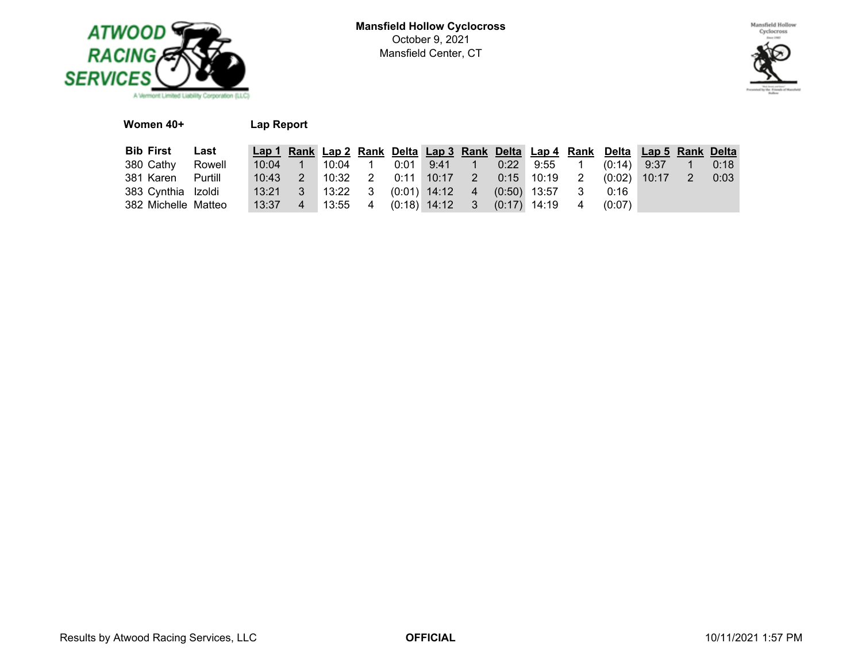



## **Women 40+ Lap Report**

| <b>Bib First Last</b> |  |  |  |  |                                                    | Lap 1 Rank Lap 2 Rank Delta Lap 3 Rank Delta Lap 4 Rank Delta Lap 5 Rank Delta |  |      |
|-----------------------|--|--|--|--|----------------------------------------------------|--------------------------------------------------------------------------------|--|------|
| 380 Cathy Rowell      |  |  |  |  |                                                    | 10:04 1 10:04 1 0:01 9:41 1 0:22 9:55 1 (0:14) 9:37 1 0:18                     |  |      |
| 381 Karen Purtill     |  |  |  |  |                                                    | 10:43  2  10:32  2  0:11  10:17  2  0:15  10:19  2  (0:02)  10:17  2           |  | 0:03 |
| 383 Cynthia Izoldi    |  |  |  |  | 13:21 3 13:22 3 (0:01) 14:12 4 (0:50) 13:57 3 0:16 |                                                                                |  |      |
| 382 Michelle Matteo   |  |  |  |  |                                                    | $13:37$ 4 13:55 4 (0:18) 14:12 3 (0:17) 14:19 4 (0:07)                         |  |      |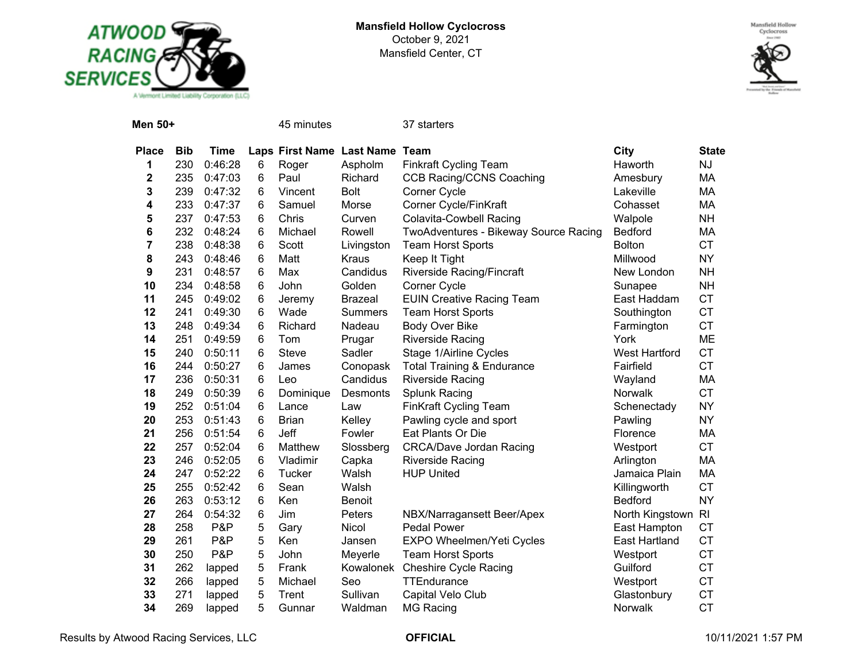



| Men 50+      |            |             |   | 45 minutes                     |                | 37 starters                           |                      |              |
|--------------|------------|-------------|---|--------------------------------|----------------|---------------------------------------|----------------------|--------------|
| <b>Place</b> | <b>Bib</b> | <b>Time</b> |   | Laps First Name Last Name Team |                |                                       | City                 | <b>State</b> |
| 1            | 230        | 0:46:28     | 6 | Roger                          | Aspholm        | <b>Finkraft Cycling Team</b>          | Haworth              | <b>NJ</b>    |
| $\mathbf 2$  | 235        | 0:47:03     | 6 | Paul                           | Richard        | <b>CCB Racing/CCNS Coaching</b>       | Amesbury             | МA           |
| 3            | 239        | 0:47:32     | 6 | Vincent                        | Bolt           | Corner Cycle                          | Lakeville            | MA           |
| 4            | 233        | 0:47:37     | 6 | Samuel                         | Morse          | Corner Cycle/FinKraft                 | Cohasset             | МA           |
| 5            | 237        | 0:47:53     | 6 | Chris                          | Curven         | <b>Colavita-Cowbell Racing</b>        | Walpole              | <b>NH</b>    |
| 6            | 232        | 0:48:24     | 6 | Michael                        | Rowell         | TwoAdventures - Bikeway Source Racing | <b>Bedford</b>       | МA           |
| 7            | 238        | 0:48:38     | 6 | Scott                          | Livingston     | <b>Team Horst Sports</b>              | <b>Bolton</b>        | <b>CT</b>    |
| 8            | 243        | 0:48:46     | 6 | Matt                           | <b>Kraus</b>   | Keep It Tight                         | Millwood             | <b>NY</b>    |
| 9            | 231        | 0:48:57     | 6 | Max                            | Candidus       | Riverside Racing/Fincraft             | New London           | <b>NH</b>    |
| 10           | 234        | 0:48:58     | 6 | John                           | Golden         | Corner Cycle                          | Sunapee              | <b>NH</b>    |
| 11           | 245        | 0:49:02     | 6 | Jeremy                         | <b>Brazeal</b> | <b>EUIN Creative Racing Team</b>      | East Haddam          | <b>CT</b>    |
| 12           | 241        | 0:49:30     | 6 | Wade                           | <b>Summers</b> | <b>Team Horst Sports</b>              | Southington          | <b>CT</b>    |
| 13           | 248        | 0:49:34     | 6 | Richard                        | Nadeau         | Body Over Bike                        | Farmington           | <b>CT</b>    |
| 14           | 251        | 0:49:59     | 6 | Tom                            | Prugar         | <b>Riverside Racing</b>               | York                 | ME           |
| 15           | 240        | 0:50:11     | 6 | Steve                          | Sadler         | Stage 1/Airline Cycles                | <b>West Hartford</b> | <b>CT</b>    |
| 16           | 244        | 0:50:27     | 6 | James                          | Conopask       | <b>Total Training &amp; Endurance</b> | Fairfield            | <b>CT</b>    |
| 17           | 236        | 0:50:31     | 6 | Leo                            | Candidus       | Riverside Racing                      | Wayland              | МA           |
| 18           | 249        | 0:50:39     | 6 | Dominique                      | Desmonts       | Splunk Racing                         | Norwalk              | <b>CT</b>    |
| 19           | 252        | 0:51:04     | 6 | Lance                          | Law            | <b>FinKraft Cycling Team</b>          | Schenectady          | <b>NY</b>    |
| 20           | 253        | 0:51:43     | 6 | <b>Brian</b>                   | Kelley         | Pawling cycle and sport               | Pawling              | <b>NY</b>    |
| 21           | 256        | 0:51:54     | 6 | Jeff                           | Fowler         | Eat Plants Or Die                     | Florence             | МA           |
| 22           | 257        | 0:52:04     | 6 | Matthew                        | Slossberg      | <b>CRCA/Dave Jordan Racing</b>        | Westport             | <b>CT</b>    |
| 23           | 246        | 0:52:05     | 6 | Vladimir                       | Capka          | <b>Riverside Racing</b>               | Arlington            | MA           |
| 24           | 247        | 0:52:22     | 6 | Tucker                         | Walsh          | <b>HUP United</b>                     | Jamaica Plain        | МA           |
| 25           | 255        | 0:52:42     | 6 | Sean                           | Walsh          |                                       | Killingworth         | <b>CT</b>    |
| 26           | 263        | 0:53:12     | 6 | Ken                            | <b>Benoit</b>  |                                       | <b>Bedford</b>       | <b>NY</b>    |
| 27           | 264        | 0:54:32     | 6 | Jim                            | Peters         | NBX/Narragansett Beer/Apex            | North Kingstown RI   |              |
| 28           | 258        | P&P         | 5 | Gary                           | Nicol          | <b>Pedal Power</b>                    | East Hampton         | <b>CT</b>    |
| 29           | 261        | P&P         | 5 | Ken                            | Jansen         | EXPO Wheelmen/Yeti Cycles             | <b>East Hartland</b> | <b>CT</b>    |
| 30           | 250        | P&P         | 5 | John                           | Meyerle        | <b>Team Horst Sports</b>              | Westport             | <b>CT</b>    |
| 31           | 262        | lapped      | 5 | Frank                          | Kowalonek      | <b>Cheshire Cycle Racing</b>          | Guilford             | <b>CT</b>    |
| 32           | 266        | lapped      | 5 | Michael                        | Seo            | TTEndurance                           | Westport             | <b>CT</b>    |
| 33           | 271        | lapped      | 5 | Trent                          | Sullivan       | Capital Velo Club                     | Glastonbury          | <b>CT</b>    |
| 34           | 269        | lapped      | 5 | Gunnar                         | Waldman        | <b>MG Racing</b>                      | Norwalk              | <b>CT</b>    |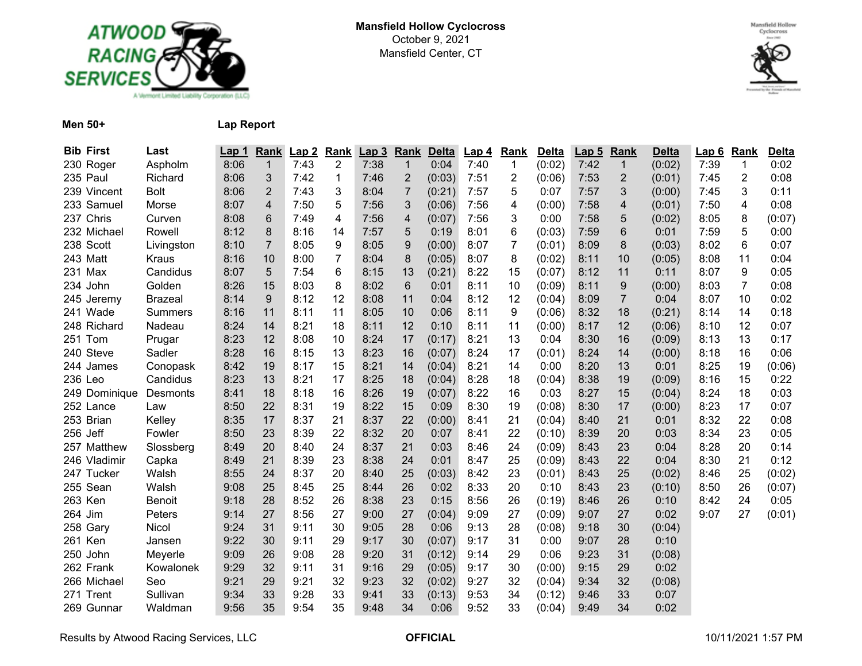



**Men 50+ Lap Report**

| <b>Bib First</b> | Last           | Lap 1 | Rank           | Lap2 | Rank | Lap3 | Rank                     | <b>Delta</b> | Lap <sub>4</sub> | Rank           | <b>Delta</b> | Lap <sub>5</sub> | Rank           | <b>Delta</b> | Lap6 | Rank           | <b>Delta</b> |
|------------------|----------------|-------|----------------|------|------|------|--------------------------|--------------|------------------|----------------|--------------|------------------|----------------|--------------|------|----------------|--------------|
| 230 Roger        | Aspholm        | 8:06  | $\mathbf{1}$   | 7:43 | 2    | 7:38 | $\mathbf{1}$             | 0:04         | 7:40             | $\mathbf{1}$   | (0:02)       | 7:42             | $\mathbf{1}$   | (0:02)       | 7:39 | 1              | 0:02         |
| 235 Paul         | Richard        | 8:06  | 3              | 7:42 | 1    | 7:46 | $\overline{2}$           | (0:03)       | 7:51             | $\overline{c}$ | (0:06)       | 7:53             | 2              | (0:01)       | 7:45 | $\overline{2}$ | 0:08         |
| 239 Vincent      | <b>Bolt</b>    | 8:06  | $\overline{2}$ | 7:43 | 3    | 8:04 | $\overline{7}$           | (0:21)       | 7:57             | 5              | 0:07         | 7:57             | 3              | (0:00)       | 7:45 | 3              | 0:11         |
| 233 Samuel       | Morse          | 8:07  | $\overline{4}$ | 7:50 | 5    | 7:56 | 3                        | (0:06)       | 7:56             | 4              | (0:00)       | 7:58             | 4              | (0:01)       | 7:50 | 4              | 0:08         |
| 237 Chris        | Curven         | 8:08  | 6              | 7:49 | 4    | 7:56 | $\overline{\mathcal{A}}$ | (0:07)       | 7:56             | 3              | 0:00         | 7:58             | 5              | (0:02)       | 8:05 | 8              | (0:07)       |
| 232 Michael      | Rowell         | 8:12  | 8              | 8:16 | 14   | 7:57 | 5                        | 0:19         | 8:01             | 6              | (0:03)       | 7:59             | 6              | 0:01         | 7:59 | 5              | 0:00         |
| 238 Scott        | Livingston     | 8:10  | $\overline{7}$ | 8:05 | 9    | 8:05 | $\boldsymbol{9}$         | (0:00)       | 8:07             | $\overline{7}$ | (0:01)       | 8:09             | 8              | (0:03)       | 8:02 | 6              | 0:07         |
| 243 Matt         | <b>Kraus</b>   | 8:16  | 10             | 8:00 | 7    | 8:04 | 8                        | (0:05)       | 8:07             | 8              | (0:02)       | 8:11             | 10             | (0:05)       | 8:08 | 11             | 0:04         |
| 231 Max          | Candidus       | 8:07  | 5              | 7:54 | 6    | 8:15 | 13                       | (0:21)       | 8:22             | 15             | (0:07)       | 8:12             | 11             | 0:11         | 8:07 | 9              | 0:05         |
| 234 John         | Golden         | 8:26  | 15             | 8:03 | 8    | 8:02 | 6                        | 0:01         | 8:11             | 10             | (0:09)       | 8:11             | 9              | (0:00)       | 8:03 | $\overline{7}$ | 0:08         |
| 245 Jeremy       | <b>Brazeal</b> | 8:14  | 9              | 8:12 | 12   | 8:08 | 11                       | 0:04         | 8:12             | 12             | (0:04)       | 8:09             | $\overline{7}$ | 0:04         | 8:07 | 10             | 0:02         |
| 241 Wade         | <b>Summers</b> | 8:16  | 11             | 8:11 | 11   | 8:05 | 10                       | 0:06         | 8:11             | 9              | (0:06)       | 8:32             | 18             | (0:21)       | 8:14 | 14             | 0:18         |
| 248 Richard      | Nadeau         | 8:24  | 14             | 8:21 | 18   | 8:11 | 12                       | 0:10         | 8:11             | 11             | (0:00)       | 8:17             | 12             | (0:06)       | 8:10 | 12             | 0:07         |
| 251 Tom          | Prugar         | 8:23  | 12             | 8:08 | 10   | 8:24 | 17                       | (0:17)       | 8:21             | 13             | 0:04         | 8:30             | 16             | (0:09)       | 8:13 | 13             | 0:17         |
| 240 Steve        | Sadler         | 8:28  | 16             | 8:15 | 13   | 8:23 | 16                       | (0:07)       | 8:24             | 17             | (0:01)       | 8:24             | 14             | (0:00)       | 8:18 | 16             | 0:06         |
| 244 James        | Conopask       | 8:42  | 19             | 8:17 | 15   | 8:21 | 14                       | (0:04)       | 8:21             | 14             | 0:00         | 8:20             | 13             | 0:01         | 8:25 | 19             | (0:06)       |
| 236 Leo          | Candidus       | 8:23  | 13             | 8:21 | 17   | 8:25 | 18                       | (0:04)       | 8:28             | 18             | (0:04)       | 8:38             | 19             | (0:09)       | 8:16 | 15             | 0:22         |
| 249 Dominique    | Desmonts       | 8:41  | 18             | 8:18 | 16   | 8:26 | 19                       | (0:07)       | 8:22             | 16             | 0:03         | 8:27             | 15             | (0:04)       | 8:24 | 18             | 0:03         |
| 252 Lance        | Law            | 8:50  | 22             | 8:31 | 19   | 8:22 | 15                       | 0:09         | 8:30             | 19             | (0:08)       | 8:30             | 17             | (0:00)       | 8:23 | 17             | 0:07         |
| 253 Brian        | Kelley         | 8:35  | 17             | 8:37 | 21   | 8:37 | 22                       | (0:00)       | 8:41             | 21             | (0:04)       | 8:40             | 21             | 0:01         | 8:32 | 22             | 0:08         |
| 256 Jeff         | Fowler         | 8:50  | 23             | 8:39 | 22   | 8:32 | 20                       | 0:07         | 8:41             | 22             | (0:10)       | 8:39             | 20             | 0:03         | 8:34 | 23             | 0:05         |
| 257 Matthew      | Slossberg      | 8:49  | 20             | 8:40 | 24   | 8:37 | 21                       | 0:03         | 8:46             | 24             | (0:09)       | 8:43             | 23             | 0:04         | 8:28 | 20             | 0:14         |
| 246 Vladimir     | Capka          | 8:49  | 21             | 8:39 | 23   | 8:38 | 24                       | 0:01         | 8:47             | 25             | (0:09)       | 8:43             | 22             | 0:04         | 8:30 | 21             | 0:12         |
| 247 Tucker       | Walsh          | 8:55  | 24             | 8:37 | 20   | 8:40 | 25                       | (0:03)       | 8:42             | 23             | (0:01)       | 8:43             | 25             | (0:02)       | 8:46 | 25             | (0:02)       |
| 255 Sean         | Walsh          | 9:08  | 25             | 8:45 | 25   | 8:44 | 26                       | 0:02         | 8:33             | 20             | 0:10         | 8:43             | 23             | (0:10)       | 8:50 | 26             | (0:07)       |
| 263 Ken          | <b>Benoit</b>  | 9:18  | 28             | 8:52 | 26   | 8:38 | 23                       | 0:15         | 8:56             | 26             | (0:19)       | 8:46             | 26             | 0:10         | 8:42 | 24             | 0:05         |
| 264 Jim          | Peters         | 9:14  | 27             | 8:56 | 27   | 9:00 | 27                       | (0:04)       | 9:09             | 27             | (0:09)       | 9:07             | 27             | 0:02         | 9:07 | 27             | (0:01)       |
| 258 Gary         | Nicol          | 9:24  | 31             | 9:11 | 30   | 9:05 | 28                       | 0:06         | 9:13             | 28             | (0:08)       | 9:18             | 30             | (0:04)       |      |                |              |
| 261 Ken          | Jansen         | 9:22  | 30             | 9:11 | 29   | 9:17 | 30                       | (0:07)       | 9:17             | 31             | 0:00         | 9:07             | 28             | 0:10         |      |                |              |
| 250 John         | Meyerle        | 9:09  | 26             | 9:08 | 28   | 9:20 | 31                       | (0:12)       | 9:14             | 29             | 0:06         | 9:23             | 31             | (0:08)       |      |                |              |
| 262 Frank        | Kowalonek      | 9:29  | 32             | 9:11 | 31   | 9:16 | 29                       | (0:05)       | 9:17             | 30             | (0:00)       | 9:15             | 29             | 0:02         |      |                |              |
| 266 Michael      | Seo            | 9:21  | 29             | 9:21 | 32   | 9:23 | 32                       | (0:02)       | 9:27             | 32             | (0:04)       | 9:34             | 32             | (0:08)       |      |                |              |
| 271 Trent        | Sullivan       | 9:34  | 33             | 9:28 | 33   | 9:41 | 33                       | (0:13)       | 9:53             | 34             | (0:12)       | 9:46             | 33             | 0:07         |      |                |              |
| 269 Gunnar       | Waldman        | 9:56  | 35             | 9:54 | 35   | 9:48 | 34                       | 0:06         | 9:52             | 33             | (0:04)       | 9:49             | 34             | 0:02         |      |                |              |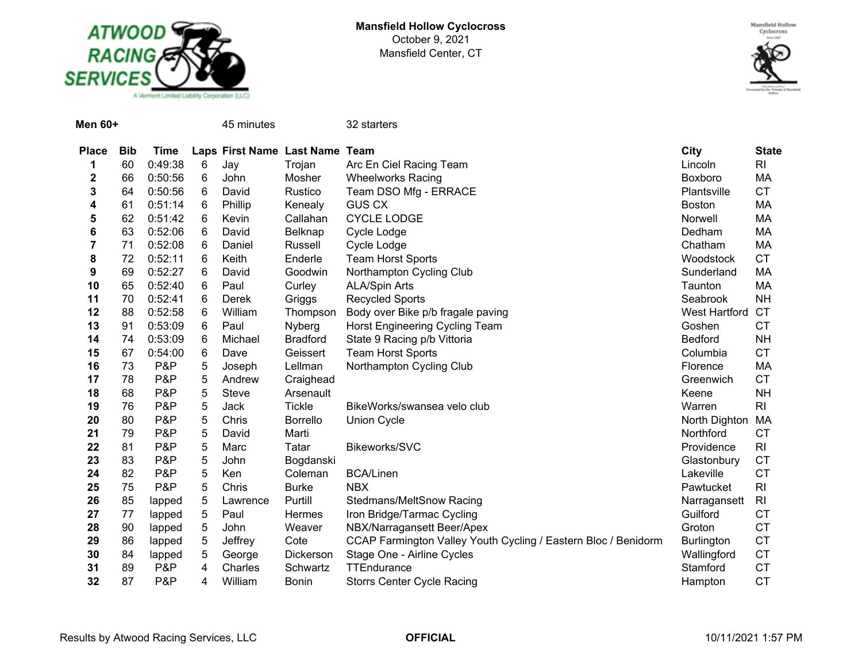



| <b>Men 60+</b> |            |             |   | 45 minutes                     |                 | 32 starters                                                    |                      |                |
|----------------|------------|-------------|---|--------------------------------|-----------------|----------------------------------------------------------------|----------------------|----------------|
| <b>Place</b>   | <b>Bib</b> | <b>Time</b> |   | Laps First Name Last Name Team |                 |                                                                | <b>City</b>          | <b>State</b>   |
| 1              | 60         | 0:49:38     | 6 | Jay                            | Trojan          | Arc En Ciel Racing Team                                        | Lincoln              | <b>RI</b>      |
| 2              | 66         | 0:50:56     | 6 | John                           | Mosher          | <b>Wheelworks Racing</b>                                       | Boxboro              | MA             |
| 3              | 64         | 0:50:56     | 6 | David                          | Rustico         | Team DSO Mfg - ERRACE                                          | Plantsville          | <b>CT</b>      |
| 4              | 61         | 0:51:14     | 6 | Phillip                        | Kenealy         | <b>GUS CX</b>                                                  | <b>Boston</b>        | MA             |
| 5              | 62         | 0:51:42     | 6 | Kevin                          | Callahan        | CYCLE LODGE                                                    | Norwell              | MA             |
| 6              | 63         | 0:52:06     | 6 | David                          | Belknap         | Cycle Lodge                                                    | Dedham               | MA             |
| $\overline{7}$ | 71         | 0:52:08     | 6 | Daniel                         | Russell         | Cycle Lodge                                                    | Chatham              | MA             |
| 8              | 72         | 0:52:11     | 6 | Keith                          | Enderle         | <b>Team Horst Sports</b>                                       | Woodstock            | <b>CT</b>      |
| 9              | 69         | 0:52:27     | 6 | David                          | Goodwin         | Northampton Cycling Club                                       | Sunderland           | МA             |
| 10             | 65         | 0:52:40     | 6 | Paul                           | Curley          | <b>ALA/Spin Arts</b>                                           | Taunton              | MA             |
| 11             | 70         | 0:52:41     | 6 | Derek                          | Griggs          | <b>Recycled Sports</b>                                         | Seabrook             | <b>NH</b>      |
| 12             | 88         | 0:52:58     | 6 | William                        | Thompson        | Body over Bike p/b fragale paving                              | <b>West Hartford</b> | <b>CT</b>      |
| 13             | 91         | 0:53:09     | 6 | Paul                           | Nyberg          | Horst Engineering Cycling Team                                 | Goshen               | <b>CT</b>      |
| 14             | 74         | 0:53:09     | 6 | Michael                        | <b>Bradford</b> | State 9 Racing p/b Vittoria                                    | Bedford              | <b>NH</b>      |
| 15             | 67         | 0:54:00     | 6 | Dave                           | Geissert        | <b>Team Horst Sports</b>                                       | Columbia             | <b>CT</b>      |
| 16             | 73         | P&P         | 5 | Joseph                         | Lellman         | Northampton Cycling Club                                       | Florence             | MA             |
| 17             | 78         | P&P         | 5 | Andrew                         | Craighead       |                                                                | Greenwich            | <b>CT</b>      |
| 18             | 68         | P&P         | 5 | Steve                          | Arsenault       |                                                                | Keene                | <b>NH</b>      |
| 19             | 76         | P&P         | 5 | Jack                           | <b>Tickle</b>   | BikeWorks/swansea velo club                                    | Warren               | R <sub>l</sub> |
| 20             | 80         | P&P         | 5 | Chris                          | Borrello        | <b>Union Cycle</b>                                             | North Dighton        | МA             |
| 21             | 79         | P&P         | 5 | David                          | Marti           |                                                                | Northford            | <b>CT</b>      |
| 22             | 81         | P&P         | 5 | Marc                           | Tatar           | Bikeworks/SVC                                                  | Providence           | R <sub>l</sub> |
| 23             | 83         | P&P         | 5 | John                           | Bogdanski       |                                                                | Glastonbury          | <b>CT</b>      |
| 24             | 82         | P&P         | 5 | Ken                            | Coleman         | <b>BCA/Linen</b>                                               | Lakeville            | <b>CT</b>      |
| 25             | 75         | P&P         | 5 | Chris                          | <b>Burke</b>    | <b>NBX</b>                                                     | Pawtucket            | R <sub>l</sub> |
| 26             | 85         | lapped      | 5 | Lawrence                       | Purtill         | Stedmans/MeltSnow Racing                                       | Narragansett         | R <sub>l</sub> |
| 27             | 77         | lapped      | 5 | Paul                           | Hermes          | Iron Bridge/Tarmac Cycling                                     | Guilford             | <b>CT</b>      |
| 28             | 90         | lapped      | 5 | John                           | Weaver          | NBX/Narragansett Beer/Apex                                     | Groton               | <b>CT</b>      |
| 29             | 86         | lapped      | 5 | Jeffrey                        | Cote            | CCAP Farmington Valley Youth Cycling / Eastern Bloc / Benidorm | <b>Burlington</b>    | <b>CT</b>      |
| 30             | 84         | lapped      | 5 | George                         | Dickerson       | Stage One - Airline Cycles                                     | Wallingford          | <b>CT</b>      |
| 31             | 89         | P&P         | 4 | Charles                        | Schwartz        | <b>TTEndurance</b>                                             | Stamford             | <b>CT</b>      |
| 32             | 87         | P&P         | 4 | William                        | <b>Bonin</b>    | <b>Storrs Center Cycle Racing</b>                              | Hampton              | <b>CT</b>      |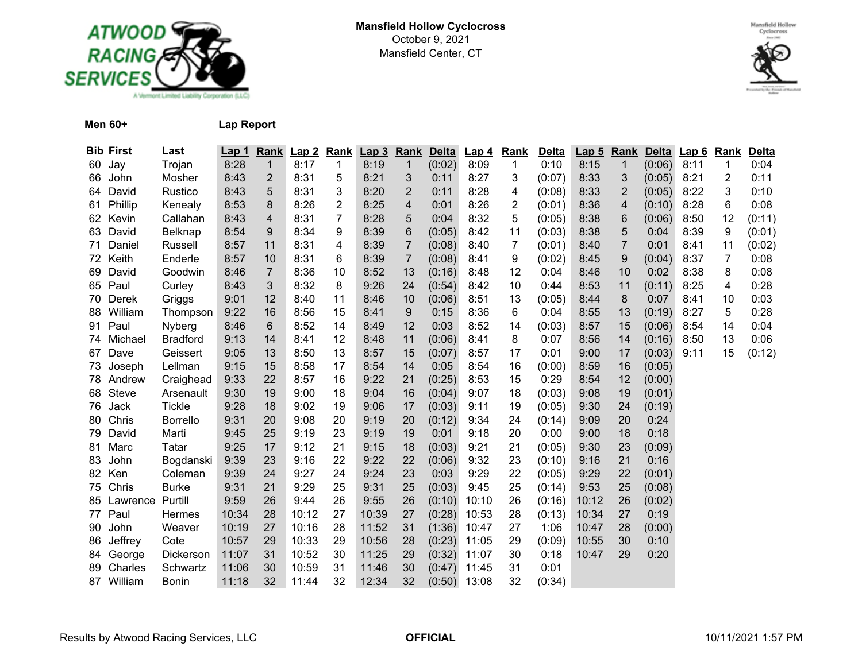



**Men 60+ Lap Report**

|    | <b>Bib First</b> | Last            | <u>Lap 1</u> | <b>Rank</b>    | Lap2  | <b>Rank</b> | Lap <sub>3</sub> | Rank           | <b>Delta</b>   | <b>Lap 4</b> | Rank           | <b>Delta</b> | <u>Lap 5</u> | <b>Rank</b>             | <b>Delta</b> | Lap6 | <b>Rank</b>  | Delta  |
|----|------------------|-----------------|--------------|----------------|-------|-------------|------------------|----------------|----------------|--------------|----------------|--------------|--------------|-------------------------|--------------|------|--------------|--------|
| 60 | Jay              | Trojan          | 8:28         | 1              | 8:17  | 1           | 8:19             | 1              | (0:02)         | 8:09         | $\mathbf{1}$   | 0:10         | 8:15         | $\mathbf{1}$            | (0:06)       | 8:11 | $\mathbf{1}$ | 0:04   |
| 66 | John             | Mosher          | 8:43         | $\overline{2}$ | 8:31  | 5           | 8:21             | 3              | 0:11           | 8:27         | 3              | (0:07)       | 8:33         | 3                       | (0:05)       | 8:21 | 2            | 0:11   |
| 64 | David            | Rustico         | 8:43         | 5              | 8:31  | 3           | 8:20             | 2              | 0:11           | 8:28         | 4              | (0:08)       | 8:33         | $\overline{2}$          | (0:05)       | 8:22 | 3            | 0:10   |
| 61 | Phillip          | Kenealy         | 8:53         | 8              | 8:26  | 2           | 8:25             | 4              | 0:01           | 8:26         | 2              | (0:01)       | 8:36         | $\overline{\mathbf{4}}$ | (0:10)       | 8:28 | 6            | 0:08   |
| 62 | Kevin            | Callahan        | 8:43         | 4              | 8:31  | 7           | 8:28             | 5              | 0:04           | 8:32         | 5              | (0:05)       | 8:38         | 6                       | (0:06)       | 8:50 | 12           | (0:11) |
| 63 | David            | Belknap         | 8:54         | 9              | 8:34  | 9           | 8:39             | 6              | (0:05)         | 8:42         | 11             | (0:03)       | 8:38         | 5                       | 0:04         | 8:39 | 9            | (0:01) |
| 71 | Daniel           | Russell         | 8:57         | 11             | 8:31  | 4           | 8:39             | 7              | (0:08)         | 8:40         | $\overline{7}$ | (0:01)       | 8:40         | $\overline{7}$          | 0:01         | 8:41 | 11           | (0:02) |
| 72 | Keith            | Enderle         | 8:57         | 10             | 8:31  | 6           | 8:39             | $\overline{7}$ | (0:08)         | 8:41         | 9              | (0:02)       | 8:45         | 9                       | (0:04)       | 8:37 | 7            | 0:08   |
| 69 | David            | Goodwin         | 8:46         | $\overline{7}$ | 8:36  | 10          | 8:52             | 13             | (0:16)         | 8:48         | 12             | 0:04         | 8:46         | 10                      | 0:02         | 8:38 | 8            | 0:08   |
| 65 | Paul             | Curley          | 8:43         | 3              | 8:32  | 8           | 9:26             | 24             | (0:54)         | 8:42         | 10             | 0:44         | 8:53         | 11                      | (0:11)       | 8:25 | 4            | 0:28   |
| 70 | Derek            | Griggs          | 9:01         | 12             | 8:40  | 11          | 8:46             | 10             | (0:06)         | 8:51         | 13             | (0:05)       | 8:44         | 8                       | 0:07         | 8:41 | 10           | 0:03   |
| 88 | William          | Thompson        | 9:22         | 16             | 8:56  | 15          | 8:41             | 9              | 0:15           | 8:36         | 6              | 0:04         | 8:55         | 13                      | (0:19)       | 8:27 | 5            | 0:28   |
| 91 | Paul             | Nyberg          | 8:46         | 6              | 8:52  | 14          | 8:49             | 12             | 0:03           | 8:52         | 14             | (0:03)       | 8:57         | 15                      | (0:06)       | 8:54 | 14           | 0:04   |
| 74 | Michael          | <b>Bradford</b> | 9:13         | 14             | 8:41  | 12          | 8:48             | 11             | (0:06)         | 8:41         | 8              | 0:07         | 8:56         | 14                      | (0:16)       | 8:50 | 13           | 0:06   |
| 67 | Dave             | Geissert        | 9:05         | 13             | 8:50  | 13          | 8:57             | 15             | (0:07)         | 8:57         | 17             | 0:01         | 9:00         | 17                      | (0:03)       | 9:11 | 15           | (0:12) |
| 73 | Joseph           | Lellman         | 9:15         | 15             | 8:58  | 17          | 8:54             | 14             | 0:05           | 8:54         | 16             | (0:00)       | 8:59         | 16                      | (0:05)       |      |              |        |
| 78 | Andrew           | Craighead       | 9:33         | 22             | 8:57  | 16          | 9:22             | 21             | (0:25)         | 8:53         | 15             | 0:29         | 8:54         | 12                      | (0:00)       |      |              |        |
| 68 | Steve            | Arsenault       | 9:30         | 19             | 9:00  | 18          | 9:04             | 16             | (0:04)         | 9:07         | 18             | (0:03)       | 9:08         | 19                      | (0:01)       |      |              |        |
| 76 | Jack             | <b>Tickle</b>   | 9:28         | 18             | 9:02  | 19          | 9:06             | 17             | (0:03)         | 9:11         | 19             | (0:05)       | 9:30         | 24                      | (0:19)       |      |              |        |
| 80 | Chris            | <b>Borrello</b> | 9:31         | 20             | 9:08  | 20          | 9:19             | 20             | (0:12)         | 9:34         | 24             | (0:14)       | 9:09         | 20                      | 0:24         |      |              |        |
| 79 | David            | Marti           | 9:45         | 25             | 9:19  | 23          | 9:19             | 19             | 0:01           | 9:18         | 20             | 0:00         | 9:00         | 18                      | 0:18         |      |              |        |
| 81 | Marc             | Tatar           | 9:25         | 17             | 9:12  | 21          | 9:15             | 18             | (0:03)         | 9:21         | 21             | (0:05)       | 9:30         | 23                      | (0:09)       |      |              |        |
| 83 | John             | Bogdanski       | 9:39         | 23             | 9:16  | 22          | 9:22             | 22             | (0:06)         | 9:32         | 23             | (0:10)       | 9:16         | 21                      | 0:16         |      |              |        |
| 82 | Ken              | Coleman         | 9:39         | 24             | 9:27  | 24          | 9:24             | 23             | 0:03           | 9:29         | 22             | (0:05)       | 9:29         | 22                      | (0:01)       |      |              |        |
| 75 | Chris            | <b>Burke</b>    | 9:31         | 21             | 9:29  | 25          | 9:31             | 25             | (0:03)         | 9:45         | 25             | (0:14)       | 9:53         | 25                      | (0:08)       |      |              |        |
| 85 | Lawrence         | Purtill         | 9:59         | 26             | 9:44  | 26          | 9:55             | 26             | (0:10)         | 10:10        | 26             | (0:16)       | 10:12        | 26                      | (0:02)       |      |              |        |
| 77 | Paul             | Hermes          | 10:34        | 28             | 10:12 | 27          | 10:39            | 27             | (0:28)         | 10:53        | 28             | (0:13)       | 10:34        | 27                      | 0:19         |      |              |        |
| 90 | John             | Weaver          | 10:19        | 27             | 10:16 | 28          | 11:52            | 31             | (1:36)         | 10:47        | 27             | 1:06         | 10:47        | 28                      | (0:00)       |      |              |        |
| 86 | Jeffrey          | Cote            | 10:57        | 29             | 10:33 | 29          | 10:56            | 28             | (0:23)         | 11:05        | 29             | (0:09)       | 10:55        | 30                      | 0:10         |      |              |        |
| 84 | George           | Dickerson       | 11:07        | 31             | 10:52 | 30          | 11:25            | 29             | (0:32)         | 11:07        | 30             | 0:18         | 10:47        | 29                      | 0:20         |      |              |        |
| 89 | Charles          | Schwartz        | 11:06        | 30             | 10:59 | 31          | 11:46            | 30             | (0:47)         | 11:45        | 31             | 0:01         |              |                         |              |      |              |        |
|    | 87 William       | Bonin           | 11:18        | 32             | 11:44 | 32          | 12:34            | 32             | $(0:50)$ 13:08 |              | 32             | (0:34)       |              |                         |              |      |              |        |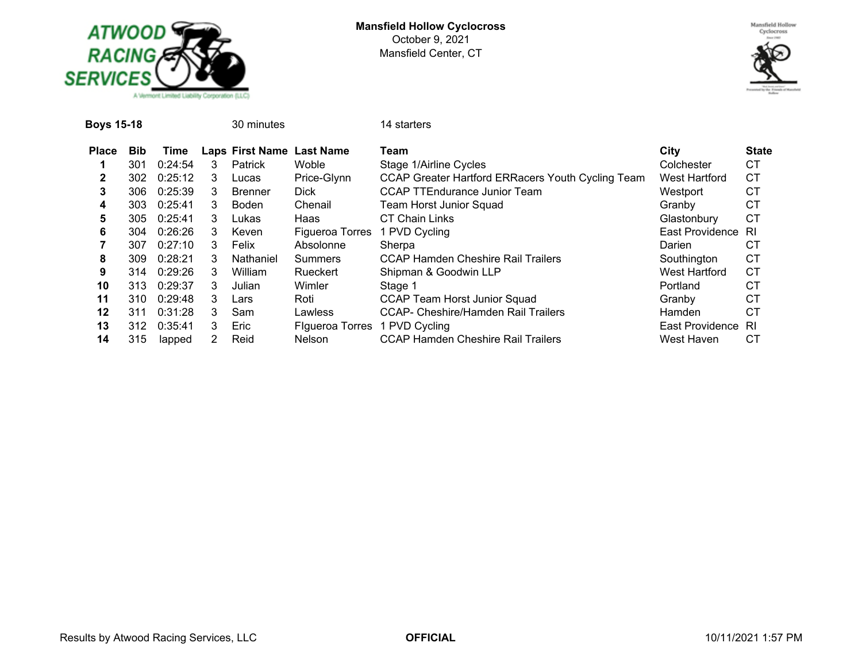



| Boys 15-18   |            |         |   | 30 minutes                |                        | 14 starters                                       |                      |              |
|--------------|------------|---------|---|---------------------------|------------------------|---------------------------------------------------|----------------------|--------------|
| <b>Place</b> | <b>Bib</b> | Time    |   | Laps First Name Last Name |                        | Team                                              | City                 | <b>State</b> |
|              | 301        | 0:24:54 | 3 | <b>Patrick</b>            | <b>Woble</b>           | Stage 1/Airline Cycles                            | Colchester           | CТ           |
| 2            | 302        | 0:25:12 | 3 | Lucas                     | Price-Glynn            | CCAP Greater Hartford ERRacers Youth Cycling Team | West Hartford        | <b>CT</b>    |
| 3            | 306.       | 0:25:39 | 3 | <b>Brenner</b>            | <b>Dick</b>            | <b>CCAP TTEndurance Junior Team</b>               | Westport             | СT           |
| 4            | 303.       | 0:25:41 | 3 | Boden                     | Chenail                | Team Horst Junior Squad                           | Granby               | CТ           |
| 5            | 305        | 0:25:41 | 3 | Lukas                     | Haas                   | <b>CT Chain Links</b>                             | Glastonbury          | СT           |
| 6            | 304        | 0:26:26 | 3 | Keven                     | Figueroa Torres        | 1 PVD Cycling                                     | East Providence      | -RI          |
|              | 307        | 0:27:10 | 3 | Felix                     | Absolonne              | Sherpa                                            | Darien               | СT           |
| 8            | 309.       | 0:28:21 | 3 | Nathaniel                 | Summers                | <b>CCAP Hamden Cheshire Rail Trailers</b>         | Southington          | <b>CT</b>    |
| 9            | 314        | 0:29:26 | 3 | William                   | Rueckert               | Shipman & Goodwin LLP                             | <b>West Hartford</b> | CТ           |
| 10           | 313.       | 0:29:37 | 3 | Julian                    | Wimler                 | Stage 1                                           | Portland             | CТ           |
| 11           | 310.       | 0:29:48 | 3 | Lars                      | Roti                   | <b>CCAP Team Horst Junior Squad</b>               | Granby               | <b>CT</b>    |
| 12           | 311        | 0:31:28 | 3 | Sam                       | Lawless                | <b>CCAP- Cheshire/Hamden Rail Trailers</b>        | <b>Hamden</b>        | СT           |
| 13           | 312        | 0:35:41 | 3 | Eric                      | <b>Flgueroa Torres</b> | 1 PVD Cycling                                     | East Providence      | - RI         |
| 14           | 315        | lapped  | 2 | Reid                      | <b>Nelson</b>          | <b>CCAP Hamden Cheshire Rail Trailers</b>         | West Haven           | CT.          |
|              |            |         |   |                           |                        |                                                   |                      |              |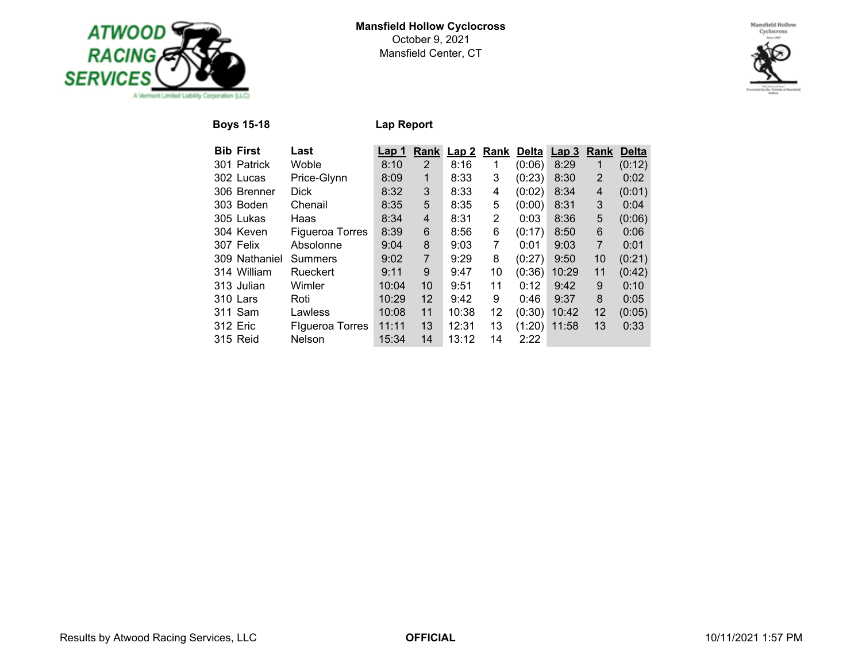



**Boys 15-18 Lap Report**

| <b>Bib First</b> | Last                   | Lap 1 | Rank              | Lap2  | Rank | Delta  | Lap <sub>3</sub> | Rank              | <b>Delta</b> |
|------------------|------------------------|-------|-------------------|-------|------|--------|------------------|-------------------|--------------|
| 301 Patrick      | Woble                  | 8:10  | 2                 | 8:16  | 1    | (0:06) | 8:29             | 1                 | (0:12)       |
| 302 Lucas        | Price-Glynn            | 8:09  | 1                 | 8:33  | 3    | (0:23) | 8:30             | $\overline{2}$    | 0:02         |
| 306 Brenner      | <b>Dick</b>            | 8:32  | 3                 | 8:33  | 4    | (0:02) | 8:34             | 4                 | (0:01)       |
| 303 Boden        | Chenail                | 8:35  | 5                 | 8:35  | 5    | (0:00) | 8:31             | 3                 | 0:04         |
| 305 Lukas        | Haas                   | 8:34  | 4                 | 8:31  | 2    | 0:03   | 8:36             | 5                 | (0:06)       |
| 304 Keven        | <b>Figueroa Torres</b> | 8:39  | 6                 | 8:56  | 6    | (0:17) | 8:50             | 6                 | 0:06         |
| 307 Felix        | Absolonne              | 9:04  | 8                 | 9:03  | 7    | 0:01   | 9:03             | $\overline{7}$    | 0:01         |
| 309 Nathaniel    | Summers                | 9:02  | $\overline{7}$    | 9:29  | 8    | (0:27) | 9:50             | 10                | (0:21)       |
| 314 William      | Rueckert               | 9:11  | 9                 | 9:47  | 10   | (0:36) | 10:29            | 11                | (0:42)       |
| 313 Julian       | Wimler                 | 10:04 | 10                | 9:51  | 11   | 0:12   | 9:42             | 9                 | 0:10         |
| 310 Lars         | Roti                   | 10:29 | $12 \overline{ }$ | 9:42  | 9    | 0:46   | 9:37             | 8                 | 0:05         |
| 311 Sam          | Lawless                | 10:08 | 11                | 10:38 | 12   | (0:30) | 10:42            | $12 \overline{ }$ | (0:05)       |
| 312 Eric         | <b>Flgueroa Torres</b> | 11:11 | 13                | 12:31 | 13   | (1:20) | 11:58            | 13                | 0:33         |
| <b>315 Reid</b>  | <b>Nelson</b>          | 15:34 | 14                | 13:12 | 14   | 2:22   |                  |                   |              |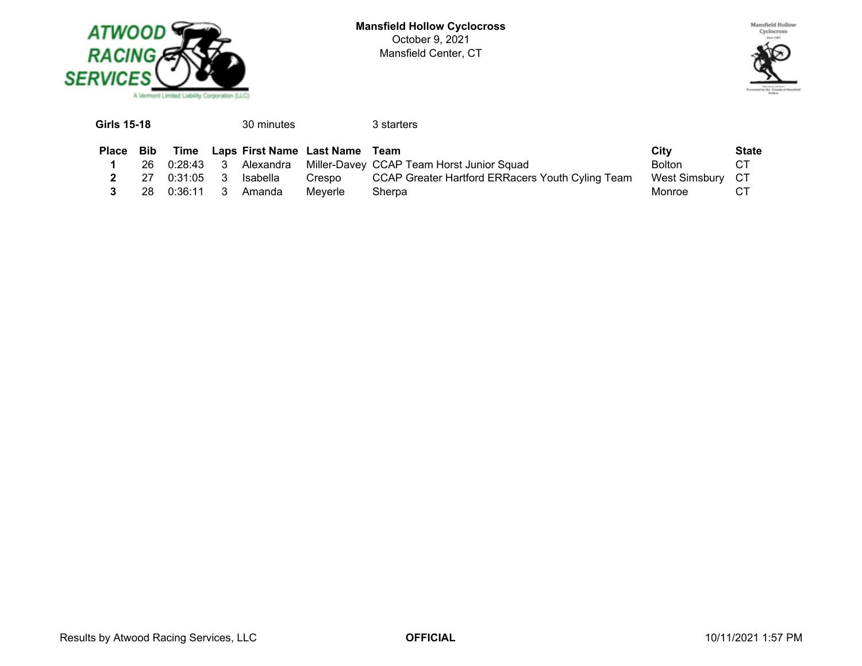



| <b>Girls 15-18</b> |     |             |     | 30 minutes |                                     | 3 starters                                          |                  |              |
|--------------------|-----|-------------|-----|------------|-------------------------------------|-----------------------------------------------------|------------------|--------------|
| <b>Place</b>       | Bib |             |     |            | Time Laps First Name Last Name Team |                                                     | City             | <b>State</b> |
|                    | 26. | $0:28:43$ 3 |     |            |                                     | Alexandra Miller-Davey CCAP Team Horst Junior Squad | Bolton           | CT.          |
|                    | 27. | 0:31:05     | - 3 | Isabella   | Crespo                              | CCAP Greater Hartford ERRacers Youth Cyling Team    | West Simsbury CT |              |
|                    | 28. | 0:36:11     | -3  | Amanda     | Meverle                             | Sherpa                                              | Monroe           | СT           |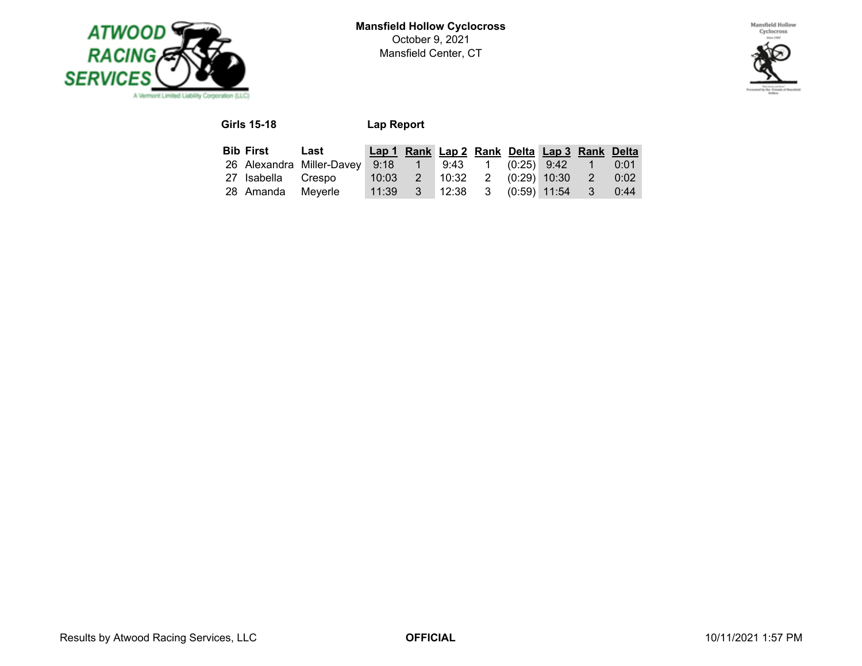



# **Girls 15-18 Lap Report**

| <b>Bib First</b> Last |                                                                   | Lap 1 Rank Lap 2 Rank Delta Lap 3 Rank Delta |                                           |  |  |      |
|-----------------------|-------------------------------------------------------------------|----------------------------------------------|-------------------------------------------|--|--|------|
|                       | 26 Alexandra Miller-Davey 9:18  1  9:43  1  (0:25)  9:42  1  0:01 |                                              |                                           |  |  |      |
| 27 Isabella Crespo    |                                                                   | 10:03  2  10:32  2  (0:29)  10:30  2         |                                           |  |  | 0:02 |
| 28 Amanda Meyerle     |                                                                   |                                              | $11:39$ 3 $12:38$ 3 $(0:59)$ 11:54 3 0:44 |  |  |      |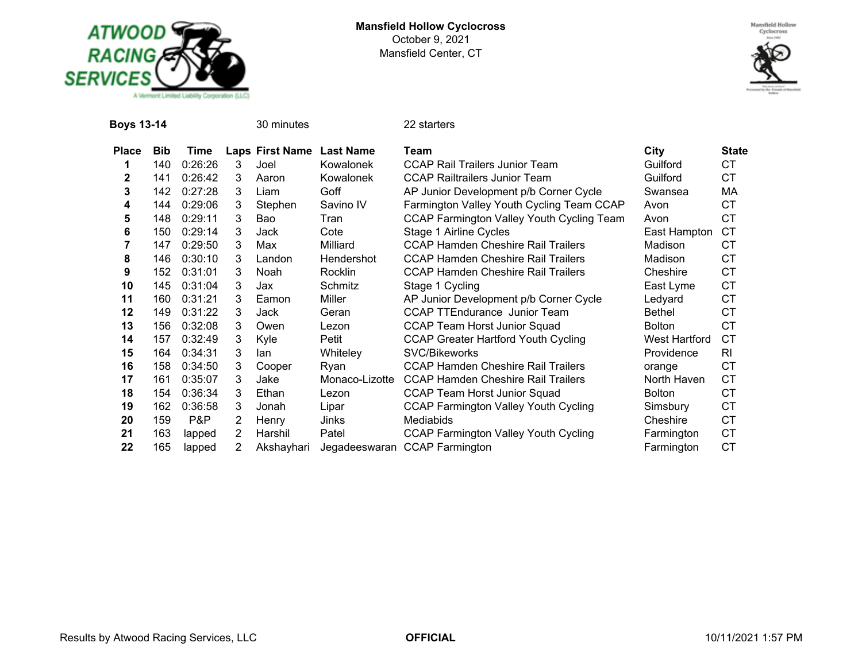



| <b>Boys 13-14</b> |     |         |   | 30 minutes      |                  | 22 starters                                 |                      |              |
|-------------------|-----|---------|---|-----------------|------------------|---------------------------------------------|----------------------|--------------|
| <b>Place</b>      | Bib | Time    |   | Laps First Name | <b>Last Name</b> | Team                                        | City                 | <b>State</b> |
|                   | 140 | 0:26:26 | 3 | Joel            | Kowalonek        | <b>CCAP Rail Trailers Junior Team</b>       | Guilford             | СT           |
| $\mathbf{2}$      | 141 | 0:26:42 | 3 | Aaron           | Kowalonek        | <b>CCAP Railtrailers Junior Team</b>        | Guilford             | <b>CT</b>    |
| 3                 | 142 | 0:27:28 | 3 | Liam            | Goff             | AP Junior Development p/b Corner Cycle      | Swansea              | МA           |
| 4                 | 144 | 0:29:06 | 3 | Stephen         | Savino IV        | Farmington Valley Youth Cycling Team CCAP   | Avon                 | СT           |
| 5                 | 148 | 0:29:11 | 3 | Bao             | Tran             | CCAP Farmington Valley Youth Cycling Team   | Avon                 | <b>CT</b>    |
| 6                 | 150 | 0:29:14 | 3 | Jack            | Cote             | Stage 1 Airline Cycles                      | East Hampton         | <b>CT</b>    |
|                   | 147 | 0:29:50 | 3 | Max             | Milliard         | <b>CCAP Hamden Cheshire Rail Trailers</b>   | Madison              | <b>CT</b>    |
| 8                 | 146 | 0:30:10 | 3 | Landon          | Hendershot       | <b>CCAP Hamden Cheshire Rail Trailers</b>   | Madison              | <b>CT</b>    |
| 9                 | 152 | 0:31:01 | 3 | Noah            | Rocklin          | <b>CCAP Hamden Cheshire Rail Trailers</b>   | Cheshire             | <b>CT</b>    |
| 10                | 145 | 0:31:04 | 3 | Jax             | Schmitz          | Stage 1 Cycling                             | East Lyme            | <b>CT</b>    |
| 11                | 160 | 0:31:21 | 3 | Eamon           | Miller           | AP Junior Development p/b Corner Cycle      | Ledyard              | СT           |
| 12                | 149 | 0:31:22 | 3 | Jack            | Geran            | <b>CCAP TTEndurance Junior Team</b>         | <b>Bethel</b>        | <b>CT</b>    |
| 13                | 156 | 0:32:08 | 3 | Owen            | Lezon            | <b>CCAP Team Horst Junior Squad</b>         | <b>Bolton</b>        | <b>CT</b>    |
| 14                | 157 | 0:32:49 | 3 | Kyle            | Petit            | <b>CCAP Greater Hartford Youth Cycling</b>  | <b>West Hartford</b> | <b>CT</b>    |
| 15                | 164 | 0:34:31 | 3 | lan             | Whiteley         | SVC/Bikeworks                               | Providence           | RI           |
| 16                | 158 | 0:34:50 | 3 | Cooper          | Ryan             | <b>CCAP Hamden Cheshire Rail Trailers</b>   | orange               | <b>CT</b>    |
| 17                | 161 | 0:35:07 | 3 | Jake            | Monaco-Lizotte   | <b>CCAP Hamden Cheshire Rail Trailers</b>   | North Haven          | <b>CT</b>    |
| 18                | 154 | 0:36:34 | 3 | Ethan           | Lezon            | <b>CCAP Team Horst Junior Squad</b>         | <b>Bolton</b>        | <b>CT</b>    |
| 19                | 162 | 0:36:58 | 3 | Jonah           | Lipar            | <b>CCAP Farmington Valley Youth Cycling</b> | Simsbury             | <b>CT</b>    |
| 20                | 159 | P&P     | 2 | Henry           | Jinks            | <b>Mediabids</b>                            | Cheshire             | <b>CT</b>    |
| 21                | 163 | lapped  | 2 | Harshil         | Patel            | <b>CCAP Farmington Valley Youth Cycling</b> | Farmington           | <b>CT</b>    |
| 22                | 165 | lapped  | 2 | Akshayhari      | Jegadeeswaran    | <b>CCAP Farmington</b>                      | Farmington           | <b>CT</b>    |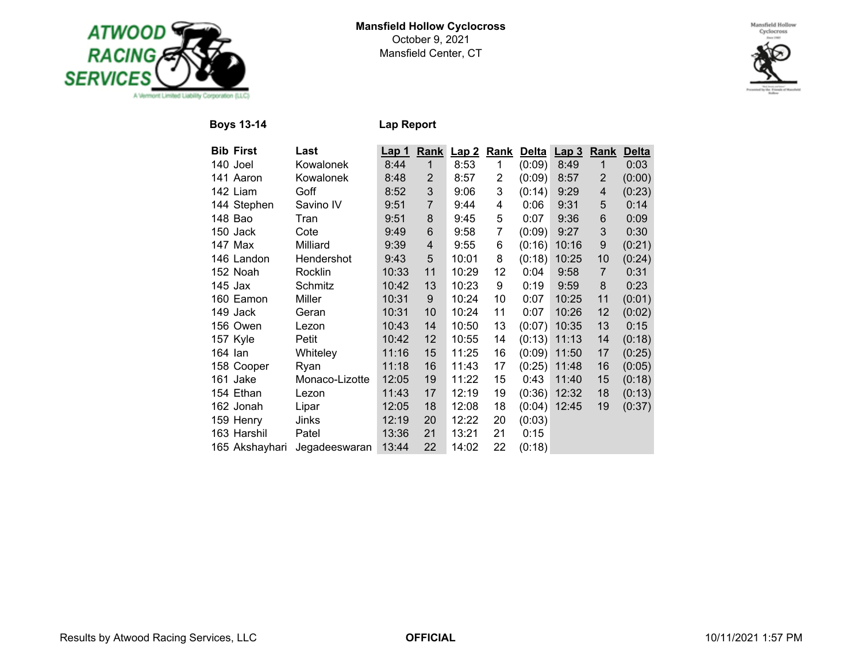



**Boys 13-14 Lap Report**

| <b>Bib First</b> | Last           | <b>Lap 1</b> | Rank           | Lap2  | Rank        | <b>Delta</b> | Lap <sub>3</sub> | Rank           | <b>Delta</b> |
|------------------|----------------|--------------|----------------|-------|-------------|--------------|------------------|----------------|--------------|
| 140 Joel         | Kowalonek      | 8:44         | $\mathbf{1}$   | 8:53  | $\mathbf 1$ | (0:09)       | 8:49             | $\mathbf{1}$   | 0:03         |
| 141 Aaron        | Kowalonek      | 8:48         | 2              | 8:57  | 2           | (0:09)       | 8:57             | 2              | (0:00)       |
| 142 Liam         | Goff           | 8:52         | 3              | 9:06  | 3           | (0:14)       | 9:29             | 4              | (0:23)       |
| 144 Stephen      | Savino IV      | 9:51         | $\overline{7}$ | 9:44  | 4           | 0:06         | 9:31             | 5              | 0:14         |
| 148 Bao          | Tran           | 9:51         | 8              | 9:45  | 5           | 0:07         | 9:36             | 6              | 0:09         |
| 150 Jack         | Cote           | 9:49         | 6              | 9:58  | 7           | (0:09)       | 9:27             | 3              | 0:30         |
| 147 Max          | Milliard       | 9:39         | 4              | 9:55  | 6           | (0:16)       | 10:16            | 9              | (0:21)       |
| 146 Landon       | Hendershot     | 9:43         | 5              | 10:01 | 8           | (0:18)       | 10:25            | 10             | (0:24)       |
| 152 Noah         | Rocklin        | 10:33        | 11             | 10:29 | 12          | 0:04         | 9:58             | $\overline{7}$ | 0:31         |
| 145 Jax          | Schmitz        | 10:42        | 13             | 10:23 | 9           | 0:19         | 9:59             | 8              | 0:23         |
| 160 Eamon        | Miller         | 10:31        | 9              | 10:24 | 10          | 0:07         | 10:25            | 11             | (0:01)       |
| 149 Jack         | Geran          | 10:31        | 10             | 10:24 | 11          | 0:07         | 10:26            | 12             | (0:02)       |
| 156 Owen         | Lezon          | 10:43        | 14             | 10:50 | 13          | (0:07)       | 10:35            | 13             | 0:15         |
| 157 Kyle         | Petit          | 10:42        | 12             | 10:55 | 14          | (0:13)       | 11:13            | 14             | (0:18)       |
| 164 Ian          | Whiteley       | 11:16        | 15             | 11:25 | 16          | (0:09)       | 11:50            | 17             | (0:25)       |
| 158 Cooper       | Ryan           | 11:18        | 16             | 11:43 | 17          | (0:25)       | 11:48            | 16             | (0:05)       |
| 161 Jake         | Monaco-Lizotte | 12:05        | 19             | 11:22 | 15          | 0:43         | 11:40            | 15             | (0:18)       |
| 154 Ethan        | Lezon          | 11:43        | 17             | 12:19 | 19          | (0:36)       | 12:32            | 18             | (0:13)       |
| 162 Jonah        | Lipar          | 12:05        | 18             | 12:08 | 18          | (0:04)       | 12:45            | 19             | (0:37)       |
| 159 Henry        | Jinks          | 12:19        | 20             | 12:22 | 20          | (0:03)       |                  |                |              |
| 163 Harshil      | Patel          | 13:36        | 21             | 13:21 | 21          | 0:15         |                  |                |              |
| 165 Akshayhari   | Jegadeeswaran  | 13:44        | 22             | 14:02 | 22          | (0:18)       |                  |                |              |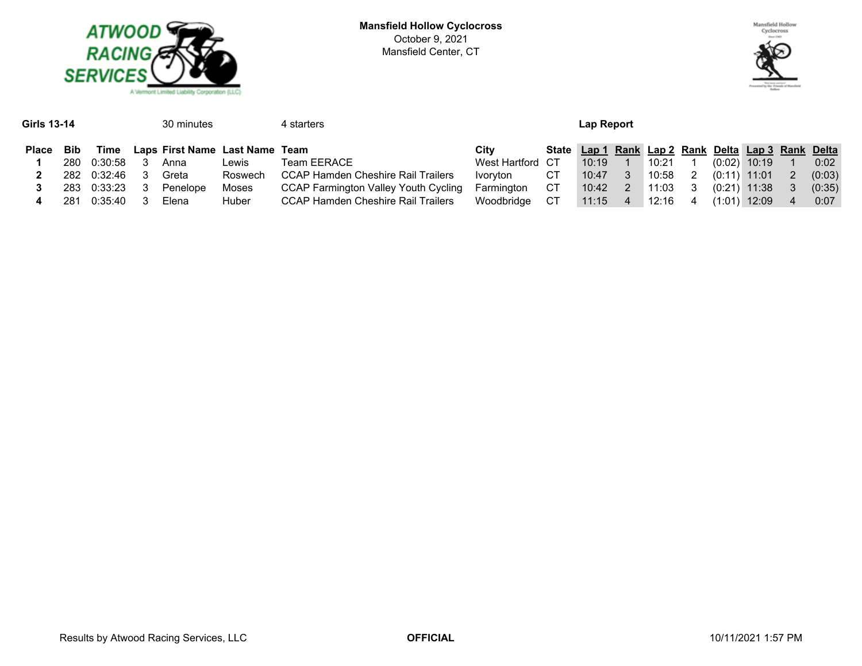



| Girls 13-14  |            |             | 30 minutes                     |         | 4 starters                                  | Lap Report       |    |                                                    |   |       |    |                |                |    |            |
|--------------|------------|-------------|--------------------------------|---------|---------------------------------------------|------------------|----|----------------------------------------------------|---|-------|----|----------------|----------------|----|------------|
| <b>Place</b> | <b>Bib</b> | Time        | Laps First Name Last Name Team |         |                                             | Citv             |    | State Lap 1 Rank Lap 2 Rank Delta Lap 3 Rank Delta |   |       |    |                |                |    |            |
|              | 280        | 0:30:58     | Anna                           | Lewis   | <b>Team EERACE</b>                          | West Hartford CT |    | 10:19                                              |   | 10:21 |    |                | $(0:02)$ 10:19 |    | $0:02^{-}$ |
|              |            | 282 0:32:46 | Greta                          | Roswech | CCAP Hamden Cheshire Rail Trailers          | Ivorvton         | СT | 10:47                                              | 3 | 10:58 | 2  | $(0:11)$ 11:01 |                | -2 | (0:03)     |
|              | 283        | 0:33:23     | Penelope                       | Moses   | <b>CCAP Farmington Valley Youth Cycling</b> | Farmington       | CT | 10:42                                              | 2 | 11:03 | -3 |                | $(0:21)$ 11:38 |    | (0:35)     |
|              | 281        | 0:35:40     | Elena                          | Huber   | <b>CCAP Hamden Cheshire Rail Trailers</b>   | Woodbridge       | CT | 11:15                                              | 4 | 12:16 | 4  | (1:01):        | 12:09          | 4  | 0:07       |
|              |            |             |                                |         |                                             |                  |    |                                                    |   |       |    |                |                |    |            |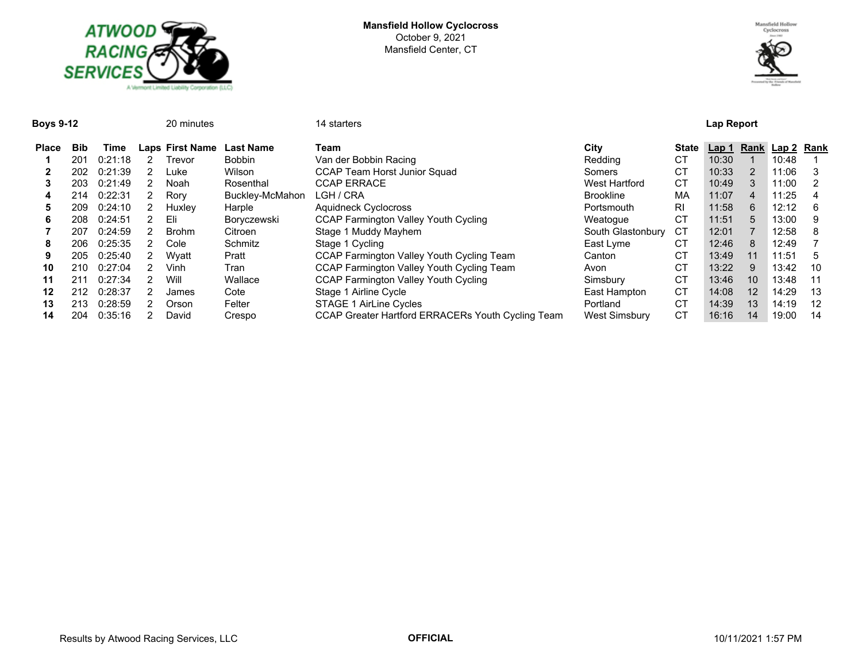



**Boys 9-12** 20 minutes 14 starters **Lap Report**

| <b>Place</b> | <b>Bib</b> | Time    |    | Laps First Name | <b>Last Name</b> | Team                                              | City              | <b>State</b> | Lap 1 |                | Rank Lap 2 Rank |    |
|--------------|------------|---------|----|-----------------|------------------|---------------------------------------------------|-------------------|--------------|-------|----------------|-----------------|----|
|              | 201        | 0:21:18 |    | Trevor          | <b>Bobbin</b>    | Van der Bobbin Racing                             | Redding           | СT           | 10:30 |                | 10:48           |    |
|              | 202        | 0:21:39 |    | Lukel           | Wilson           | <b>CCAP Team Horst Junior Squad</b>               | Somers            | CТ           | 10:33 | 2              | 11:06           |    |
| 3            | 203        | 0:21:49 |    | Noah            | Rosenthal        | <b>CCAP ERRACE</b>                                | West Hartford     | СT           | 10:49 | 3              | 11:00           | 2  |
| 4            | 214        | 0:22:31 |    | Rory            | Buckley-McMahon  | LGH / CRA                                         | <b>Brookline</b>  | МA           | 11:07 | 4              | 11:25           | 4  |
| 5            | 209        | 0:24:10 |    | Huxley          | Harple           | <b>Aquidneck Cyclocross</b>                       | Portsmouth        | <b>RI</b>    | 11:58 | 6              | 12:12           | 6  |
| 6            | 208        | 0:24:51 |    | Eli             | Boryczewski      | <b>CCAP Farmington Valley Youth Cycling</b>       | Weatogue          | СT           | 11:51 | $\overline{5}$ | 13:00           | 9  |
|              | 207        | 0:24:59 | 2. | <b>Brohm</b>    | Citroen          | Stage 1 Muddy Mayhem                              | South Glastonbury | СT           | 12:01 |                | 12:58           | 8  |
| 8            | 206        | 0:25:35 |    | Cole            | Schmitz          | Stage 1 Cycling                                   | East Lyme         | СT           | 12:46 | 8              | 12:49           |    |
| 9            | 205        | 0:25:40 |    | Wvatt           | Pratt            | <b>CCAP Farmington Valley Youth Cycling Team</b>  | Canton            | CT           | 13:49 | 11             | 11:51           | 5  |
| 10           | 210        | 0:27:04 |    | Vinh            | Tran             | <b>CCAP Farmington Valley Youth Cycling Team</b>  | Avon              | СT           | 13:22 | 9              | 13:42           | 10 |
| 11           | 211        | 0:27:34 |    | Will            | Wallace          | <b>CCAP Farmington Valley Youth Cycling</b>       | Simsbury          | СT           | 13:46 | 10             | 13:48           | 11 |
| 12           | 212        | 0:28:37 |    | James           | Cote             | Stage 1 Airline Cycle                             | East Hampton      | <b>CT</b>    | 14:08 | 12             | 14:29           | 13 |
| 13           | 213        | 0:28:59 |    | Orson           | Felter           | <b>STAGE 1 AirLine Cycles</b>                     | Portland          | СT           | 14:39 | 13             | 14:19           | 12 |
| 14           | 204        | 0:35:16 |    | David           | Crespo           | CCAP Greater Hartford ERRACERs Youth Cycling Team | West Simsbury     | <b>CT</b>    | 16:16 | 14             | 19:00           | 14 |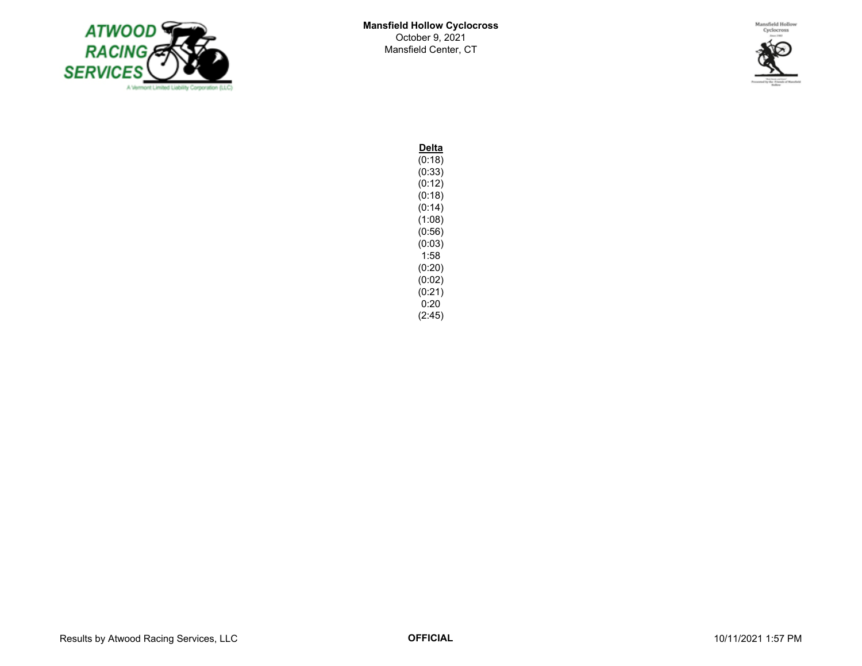



**Delta**  $(0:18)$ (0:33) (0:12)  $(0:18)$ (0:14)  $(1:08)$  $(0.56)$  $(0:03)$ 1:58 (0:20)  $(0:02)$  $(0:21)$ 0:20 (2:45)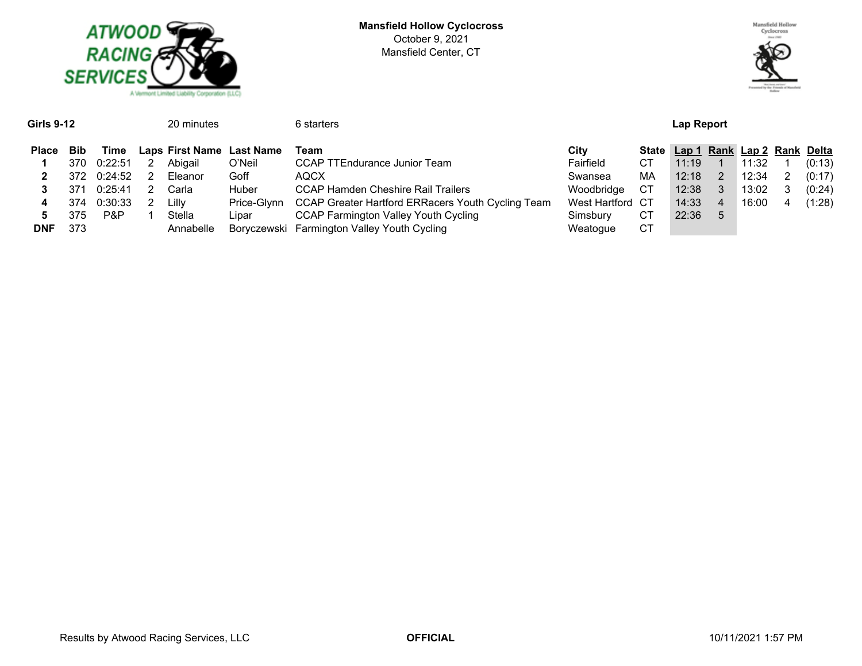



| <b>Girls 9-12</b><br>20 minutes |      |         |   |           |                           | 6 starters                                        |                  | Lap Report   |       |   |                             |  |        |  |  |
|---------------------------------|------|---------|---|-----------|---------------------------|---------------------------------------------------|------------------|--------------|-------|---|-----------------------------|--|--------|--|--|
| Place                           | Bib  | Time    |   |           | Laps First Name Last Name | Team                                              | Citv             | <b>State</b> |       |   | Lap 1 Rank Lap 2 Rank Delta |  |        |  |  |
|                                 | 370. | 0:22:51 | 2 | Abigail   | O'Neil                    | CCAP TTEndurance Junior Team                      | Fairfield        | CТ           | 11:19 |   | 11:32                       |  | (0:13) |  |  |
|                                 | 372  | 0:24:52 |   | Eleanor   | Goff                      | <b>AQCX</b>                                       | Swansea          | МA           | 12:18 |   | 12:34                       |  | (0:17) |  |  |
|                                 | 371  | 0:25:41 |   | Carla     | Huber                     | <b>CCAP Hamden Cheshire Rail Trailers</b>         | Woodbridge       | CТ           | 12:38 | 3 | 13:02                       |  | (0:24) |  |  |
| 4                               | 374  | 0:30:33 |   | Lilly     | Price-Glvnn               | CCAP Greater Hartford ERRacers Youth Cycling Team | West Hartford CT |              | 14:33 | 4 | 16:00                       |  | (1:28) |  |  |
| 5                               | 375  | P&P     |   | Stella    | Lipar                     | <b>CCAP Farmington Valley Youth Cycling</b>       | Simsbury         | СT           | 22:36 | 5 |                             |  |        |  |  |
| <b>DNF</b>                      | 373  |         |   | Annabelle |                           | Boryczewski Farmington Valley Youth Cycling       | Weatogue         | CТ           |       |   |                             |  |        |  |  |
|                                 |      |         |   |           |                           |                                                   |                  |              |       |   |                             |  |        |  |  |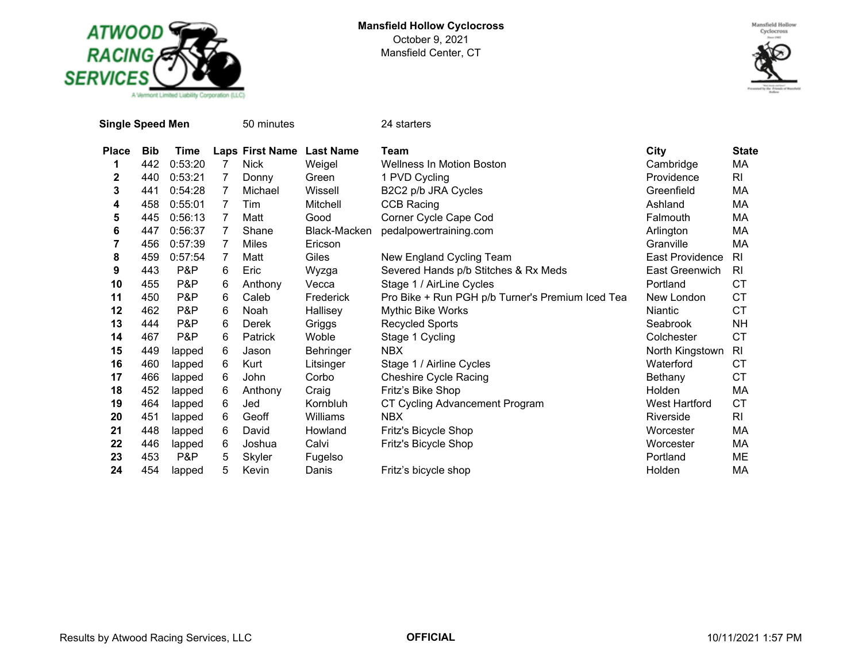



|              | <b>Single Speed Men</b> |         | 50 minutes |                           | 24 starters  |                                                  |                        |                |  |  |  |  |  |
|--------------|-------------------------|---------|------------|---------------------------|--------------|--------------------------------------------------|------------------------|----------------|--|--|--|--|--|
| <b>Place</b> | <b>Bib</b>              | Time    |            | Laps First Name Last Name |              | Team                                             | City                   | <b>State</b>   |  |  |  |  |  |
| 1            | 442                     | 0:53:20 | 7          | <b>Nick</b>               | Weigel       | Wellness In Motion Boston                        | Cambridge              | МA             |  |  |  |  |  |
| $\mathbf 2$  | 440                     | 0:53:21 | 7          | Donny                     | Green        | 1 PVD Cycling                                    | Providence             | RI             |  |  |  |  |  |
| 3            | 441                     | 0:54:28 | 7          | Michael                   | Wissell      | B2C2 p/b JRA Cycles                              | Greenfield             | МA             |  |  |  |  |  |
| 4            | 458                     | 0:55:01 | 7          | Tim                       | Mitchell     | <b>CCB Racing</b>                                | Ashland                | МA             |  |  |  |  |  |
| 5            | 445                     | 0:56:13 | 7          | Matt                      | Good         | Corner Cycle Cape Cod                            | Falmouth               | MA             |  |  |  |  |  |
| 6            | 447                     | 0:56:37 | 7          | Shane                     | Black-Macken | pedalpowertraining.com                           | Arlington              | МA             |  |  |  |  |  |
| 7            | 456                     | 0:57:39 | 7          | Miles                     | Ericson      |                                                  | Granville              | MA             |  |  |  |  |  |
| 8            | 459                     | 0:57:54 | 7          | Matt                      | Giles        | New England Cycling Team                         | <b>East Providence</b> | R <sub>l</sub> |  |  |  |  |  |
| 9            | 443                     | P&P     | 6          | Eric                      | Wyzga        | Severed Hands p/b Stitches & Rx Meds             | East Greenwich         | <b>RI</b>      |  |  |  |  |  |
| 10           | 455                     | P&P     | 6          | Anthony                   | Vecca        | Stage 1 / AirLine Cycles                         | Portland               | <b>CT</b>      |  |  |  |  |  |
| 11           | 450                     | P&P     | 6          | Caleb                     | Frederick    | Pro Bike + Run PGH p/b Turner's Premium Iced Tea | New London             | <b>CT</b>      |  |  |  |  |  |
| 12           | 462                     | P&P     | 6          | Noah                      | Hallisey     | Mythic Bike Works                                | <b>Niantic</b>         | <b>CT</b>      |  |  |  |  |  |
| 13           | 444                     | P&P     | 6          | <b>Derek</b>              | Griggs       | <b>Recycled Sports</b>                           | Seabrook               | NΗ             |  |  |  |  |  |
| 14           | 467                     | P&P     | 6          | Patrick                   | Woble        | Stage 1 Cycling                                  | Colchester             | <b>CT</b>      |  |  |  |  |  |
| 15           | 449                     | lapped  | 6          | Jason                     | Behringer    | <b>NBX</b>                                       | North Kingstown        | RI             |  |  |  |  |  |
| 16           | 460                     | lapped  | 6          | Kurt                      | Litsinger    | Stage 1 / Airline Cycles                         | Waterford              | СT             |  |  |  |  |  |
| 17           | 466                     | lapped  | 6          | John                      | Corbo        | <b>Cheshire Cycle Racing</b>                     | Bethany                | СT             |  |  |  |  |  |
| 18           | 452                     | lapped  | 6          | Anthony                   | Craig        | Fritz's Bike Shop                                | <b>Holden</b>          | MA             |  |  |  |  |  |
| 19           | 464                     | lapped  | 6          | Jed                       | Kornbluh     | CT Cycling Advancement Program                   | <b>West Hartford</b>   | <b>CT</b>      |  |  |  |  |  |
| 20           | 451                     | lapped  | 6          | Geoff                     | Williams     | <b>NBX</b>                                       | Riverside              | RI             |  |  |  |  |  |
| 21           | 448                     | lapped  | 6          | David                     | Howland      | Fritz's Bicycle Shop                             | Worcester              | МA             |  |  |  |  |  |
| 22           | 446                     | lapped  | 6          | Joshua                    | Calvi        | Fritz's Bicycle Shop                             | Worcester              | МA             |  |  |  |  |  |
| 23           | 453                     | P&P     | 5          | Skyler                    | Fugelso      |                                                  | Portland               | ME             |  |  |  |  |  |
| 24           | 454                     | lapped  | 5          | Kevin                     | Danis        | Fritz's bicycle shop                             | <b>Holden</b>          | МA             |  |  |  |  |  |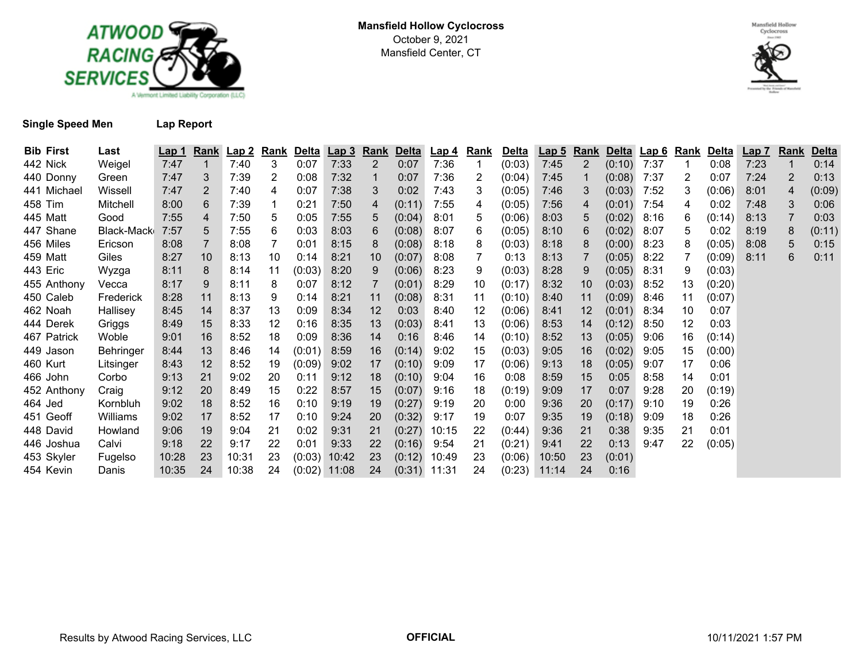



## **Single Speed Men Lap Report**

| <b>Bib First</b> | Last       | <u>Lap 1</u> | Rank | Lap2  | Rank | <b>Delta</b> | <u>Lap 3</u>   | <b>Rank</b>    | <b>Delta</b> | <u>Lap 4</u>   | <b>Rank</b> | <b>Delta</b> | <u>Lap 5</u> | <b>Rank</b>    |        | Delta Lap 6 | <u>Rank</u> | <u>Delta</u> | <u>Lap 7</u> | <b>Rank</b> | <b>Delta</b> |
|------------------|------------|--------------|------|-------|------|--------------|----------------|----------------|--------------|----------------|-------------|--------------|--------------|----------------|--------|-------------|-------------|--------------|--------------|-------------|--------------|
| 442 Nick         | Weigel     | 7:47         |      | 7:40  | 3    | 0:07         | 7:33           | 2              | 0:07         | 7:36           |             | (0:03)       | 7:45         | 2              | (0:10) | 7:37        |             | 0:08         | 7:23         |             | 0:14         |
| 440 Donny        | Green      | 7:47         | 3    | 7:39  | 2    | 0:08         | 7:32           | 1              | 0:07         | 7:36           | 2           | (0:04)       | 7:45         |                | (0:08) | 7:37        | 2           | 0:07         | 7:24         | 2           | 0:13         |
| 441 Michael      | Wissell    | 7:47         | 2    | 7:40  | 4    | 0:07         | 7:38           | 3              | 0:02         | 7:43           | 3           | (0:05)       | 7:46         | 3              | (0:03) | 7:52        | 3           | (0:06)       | 8:01         | 4           | (0:09)       |
| 458 Tim          | Mitchell   | 8:00         | 6    | 7:39  |      | 0:21         | 7:50           | 4              | (0:11)       | 7:55           | 4           | (0:05)       | 7:56         | $\overline{4}$ | (0:01) | 7:54        | 4           | 0:02         | 7:48         | 3           | 0:06         |
| 445 Matt         | Good       | 7:55         | 4    | 7:50  | 5.   | 0:05         | 7:55           | 5              | (0:04)       | 8:01           | 5           | (0:06)       | 8:03         | 5              | (0:02) | 8:16        | 6           | (0:14)       | 8:13         |             | 0:03         |
| 447 Shane        | Black-Mack | 7:57         | 5    | 7:55  | 6    | 0:03         | 8:03           | 6              | (0:08)       | 8:07           | 6           | (0:05)       | 8:10         | 6              | (0:02) | 8:07        | 5.          | 0:02         | 8:19         | 8           | (0:11)       |
| 456 Miles        | Ericson    | 8:08         |      | 8:08  |      | 0:01         | 8:15           | 8              | (0:08)       | 8:18           | 8           | (0:03)       | 8:18         | 8              | (0:00) | 8:23        | 8           | (0:05)       | 8:08         | 5           | 0:15         |
| 459 Matt         | Giles      | 8:27         | 10   | 8:13  | 10   | 0:14         | 8:21           | 10             | (0:07)       | 8:08           |             | 0:13         | 8:13         |                | (0:05) | 8:22        |             | (0:09)       | 8:11         | 6           | 0:11         |
| 443 Eric         | Wyzga      | 8:11         | 8    | 8:14  | 11   | (0:03)       | 8:20           | 9              | (0:06)       | 8:23           | 9           | (0:03)       | 8:28         | 9              | (0:05) | 8:31        | 9           | (0:03)       |              |             |              |
| 455 Anthony      | Vecca      | 8:17         | 9    | 8:11  | 8    | 0:07         | 8:12           | $\overline{7}$ | (0:01)       | 8:29           | 10          | (0:17)       | 8:32         | 10             | (0:03) | 8:52        | 13          | (0:20)       |              |             |              |
| 450 Caleb        | Frederick  | 8:28         | 11   | 8:13  | 9    | 0:14         | 8:21           | 11             | (0:08)       | 8:31           | 11          | (0:10)       | 8:40         | 11             | (0:09) | 8:46        | 11          | (0:07)       |              |             |              |
| 462 Noah         | Hallisey   | 8:45         | 14   | 8:37  | 13   | 0:09         | 8:34           | 12             | 0:03         | 8:40           | 12          | (0:06)       | 8:41         | 12             | (0:01) | 8:34        | 10          | 0:07         |              |             |              |
| 444 Derek        | Griggs     | 8:49         | 15   | 8:33  | 12   | 0:16         | 8:35           | 13             | (0:03)       | 8:41           | 13          | (0:06)       | 8:53         | 14             | (0:12) | 8:50        | 12          | 0:03         |              |             |              |
| 467 Patrick      | Woble      | 9:01         | 16   | 8:52  | 18   | 0:09         | 8:36           | 14             | 0:16         | 8:46           | 14          | (0:10)       | 8:52         | 13             | (0:05) | 9:06        | 16          | (0:14)       |              |             |              |
| 449 Jason        | Behringer  | 8:44         | 13   | 8:46  | 14   | (0:01)       | 8:59           | 16             | (0:14)       | 9:02           | 15          | (0:03)       | 9:05         | 16             | (0:02) | 9:05        | 15          | (0:00)       |              |             |              |
| 460 Kurt         | Litsinger  | 8:43         | 12   | 8:52  | 19   | (0:09)       | 9:02           | 17             | (0:10)       | 9:09           | 17          | (0:06)       | 9:13         | 18             | (0:05) | 9:07        | 17          | 0:06         |              |             |              |
| 466 John         | Corbo      | 9:13         | 21   | 9:02  | 20   | 0:11         | 9:12           | 18             | (0:10)       | 9:04           | 16          | 0:08         | 8:59         | 15             | 0:05   | 8:58        | 14          | 0:01         |              |             |              |
| 452 Anthony      | Craig      | 9:12         | 20   | 8:49  | 15   | 0:22         | 8:57           | 15             | (0:07)       | 9:16           | 18          | (0:19)       | 9:09         | 17             | 0:07   | 9:28        | 20          | (0:19)       |              |             |              |
| 464 Jed          | Kornbluh   | 9:02         | 18   | 8:52  | 16   | 0:10         | 9:19           | 19             | (0:27)       | 9:19           | 20          | 0:00         | 9:36         | 20             | (0:17) | 9:10        | 19          | 0:26         |              |             |              |
| 451 Geoff        | Williams   | 9:02         | 17   | 8:52  | 17   | 0:10         | 9:24           | 20             | (0:32)       | 9:17           | 19          | 0:07         | 9:35         | 19             | (0:18) | 9:09        | 18          | 0:26         |              |             |              |
| 448 David        | Howland    | 9:06         | 19   | 9:04  | 21   | 0:02         | 9:31           | 21             | (0:27)       | 10:15          | 22          | (0:44)       | 9:36         | 21             | 0:38   | 9:35        | 21          | 0:01         |              |             |              |
| 446 Joshua       | Calvi      | 9:18         | 22   | 9:17  | 22   | 0:01         | 9:33           | 22             | (0:16)       | 9:54           | 21          | (0:21)       | 9:41         | 22             | 0:13   | 9:47        | 22          | (0:05)       |              |             |              |
| 453 Skyler       | Fugelso    | 10:28        | 23   | 10:31 | 23   |              | $(0.03)$ 10:42 | 23             | (0:12)       | 10:49          | 23          | (0:06)       | 10:50        | 23             | (0:01) |             |             |              |              |             |              |
| 454 Kevin        | Danis      | 10:35        | 24   | 10:38 | 24   |              | $(0.02)$ 11:08 | 24             |              | $(0:31)$ 11:31 | 24          | (0:23)       | 11:14        | 24             | 0:16   |             |             |              |              |             |              |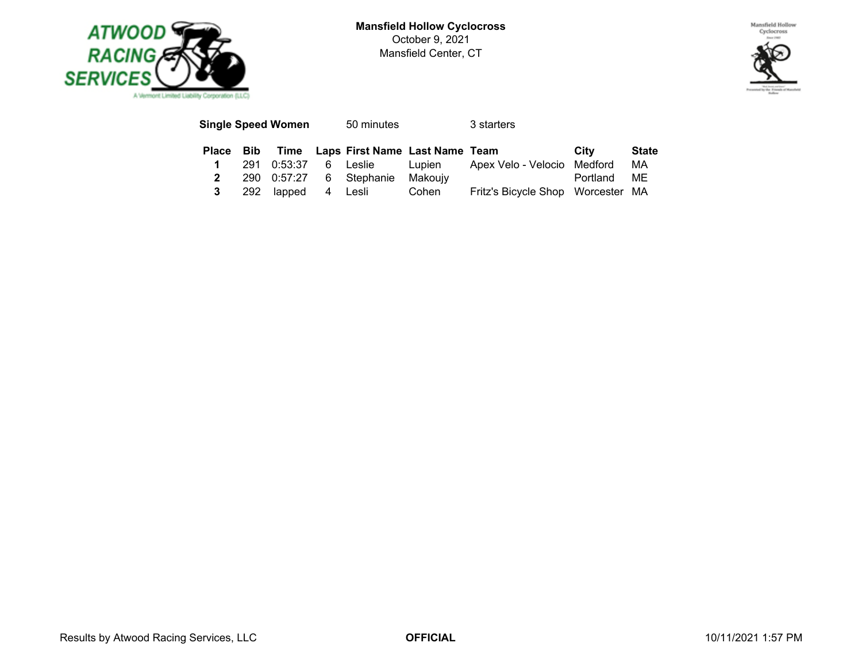

**Mansfield Hollow Cyclocross** October 9, 2021 Mansfield Center, CT



|   | Single Speed Women | 50 minutes                                    |       | 3 starters                                              |             |              |
|---|--------------------|-----------------------------------------------|-------|---------------------------------------------------------|-------------|--------------|
|   |                    | Place Bib Time Laps First Name Last Name Team |       |                                                         | City        | <b>State</b> |
|   |                    |                                               |       | 291 0:53:37 6 Leslie Lupien Apex Velo - Velocio Medford |             | MA           |
|   |                    | 290 0:57:27 6 Stephanie Makouiv               |       |                                                         | Portland ME |              |
| 3 |                    | 292 lapped 4 Lesli                            | Cohen | Fritz's Bicycle Shop Worcester MA                       |             |              |